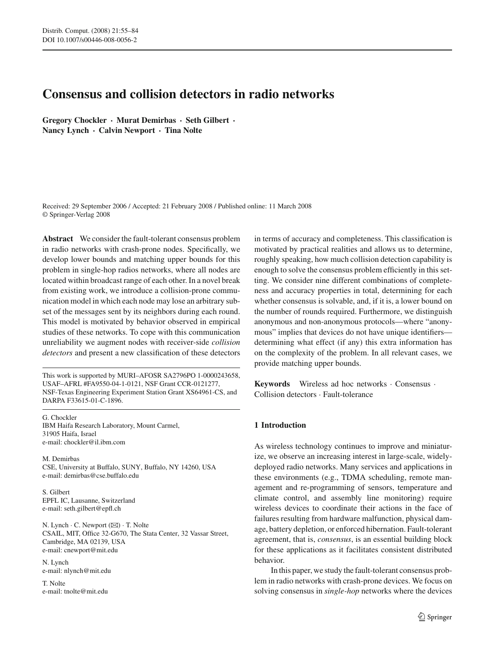# **Consensus and collision detectors in radio networks**

**Gregory Chockler · Murat Demirbas · Seth Gilbert · Nancy Lynch · Calvin Newport · Tina Nolte**

Received: 29 September 2006 / Accepted: 21 February 2008 / Published online: 11 March 2008 © Springer-Verlag 2008

**Abstract** We consider the fault-tolerant consensus problem in radio networks with crash-prone nodes. Specifically, we develop lower bounds and matching upper bounds for this problem in single-hop radios networks, where all nodes are located within broadcast range of each other. In a novel break from existing work, we introduce a collision-prone communication model in which each node may lose an arbitrary subset of the messages sent by its neighbors during each round. This model is motivated by behavior observed in empirical studies of these networks. To cope with this communication unreliability we augment nodes with receiver-side *collision detectors* and present a new classification of these detectors

This work is supported by MURI–AFOSR SA2796PO 1-0000243658, USAF–AFRL #FA9550-04-1-0121, NSF Grant CCR-0121277, NSF-Texas Engineering Experiment Station Grant XS64961-CS, and DARPA F33615-01-C-1896.

G. Chockler IBM Haifa Research Laboratory, Mount Carmel, 31905 Haifa, Israel e-mail: chockler@il.ibm.com

M. Demirbas CSE, University at Buffalo, SUNY, Buffalo, NY 14260, USA e-mail: demirbas@cse.buffalo.edu

S. Gilbert EPFL IC, Lausanne, Switzerland e-mail: seth.gilbert@epfl.ch

N. Lynch  $\cdot$  C. Newport  $(\boxtimes) \cdot$  T. Nolte CSAIL, MIT, Office 32-G670, The Stata Center, 32 Vassar Street, Cambridge, MA 02139, USA e-mail: cnewport@mit.edu

N. Lynch e-mail: nlynch@mit.edu

T. Nolte e-mail: tnolte@mit.edu in terms of accuracy and completeness. This classification is motivated by practical realities and allows us to determine, roughly speaking, how much collision detection capability is enough to solve the consensus problem efficiently in this setting. We consider nine different combinations of completeness and accuracy properties in total, determining for each whether consensus is solvable, and, if it is, a lower bound on the number of rounds required. Furthermore, we distinguish anonymous and non-anonymous protocols—where "anonymous" implies that devices do not have unique identifiers determining what effect (if any) this extra information has on the complexity of the problem. In all relevant cases, we provide matching upper bounds.

**Keywords** Wireless ad hoc networks · Consensus · Collision detectors · Fault-tolerance

## **1 Introduction**

As wireless technology continues to improve and miniaturize, we observe an increasing interest in large-scale, widelydeployed radio networks. Many services and applications in these environments (e.g., TDMA scheduling, remote management and re-programming of sensors, temperature and climate control, and assembly line monitoring) require wireless devices to coordinate their actions in the face of failures resulting from hardware malfunction, physical damage, battery depletion, or enforced hibernation. Fault-tolerant agreement, that is, *consensus*, is an essential building block for these applications as it facilitates consistent distributed behavior.

In this paper, we study the fault-tolerant consensus problem in radio networks with crash-prone devices. We focus on solving consensus in *single-hop* networks where the devices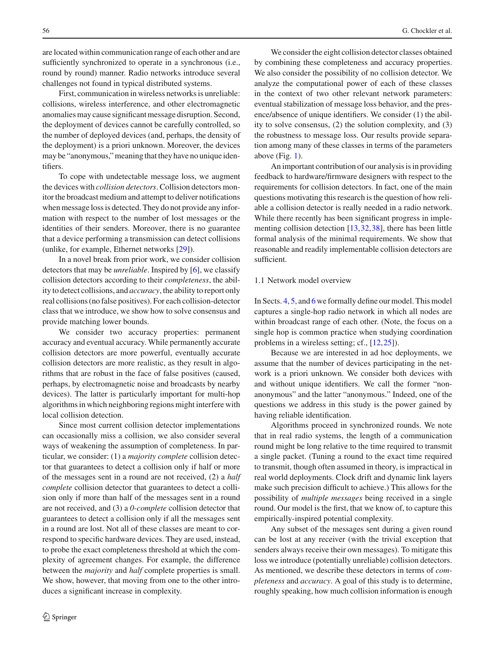are located within communication range of each other and are sufficiently synchronized to operate in a synchronous (i.e., round by round) manner. Radio networks introduce several challenges not found in typical distributed systems.

First, communication in wireless networks is unreliable: collisions, wireless interference, and other electromagnetic anomalies may cause significant message disruption. Second, the deployment of devices cannot be carefully controlled, so the number of deployed devices (and, perhaps, the density of the deployment) is a priori unknown. Moreover, the devices may be "anonymous," meaning that they have no unique identifiers.

To cope with undetectable message loss, we augment the devices with *collision detectors*. Collision detectors monitor the broadcast medium and attempt to deliver notifications when message loss is detected. They do not provide any information with respect to the number of lost messages or the identities of their senders. Moreover, there is no guarantee that a device performing a transmission can detect collisions (unlike, for example, Ethernet networks [\[29](#page-28-0)]).

In a novel break from prior work, we consider collision detectors that may be *unreliable*. Inspired by [\[6](#page-28-1)], we classify collision detectors according to their *completeness*, the ability to detect collisions, and *accuracy*, the ability to report only real collisions (no false positives). For each collision-detector class that we introduce, we show how to solve consensus and provide matching lower bounds.

We consider two accuracy properties: permanent accuracy and eventual accuracy. While permanently accurate collision detectors are more powerful, eventually accurate collision detectors are more realistic, as they result in algorithms that are robust in the face of false positives (caused, perhaps, by electromagnetic noise and broadcasts by nearby devices). The latter is particularly important for multi-hop algorithms in which neighboring regions might interfere with local collision detection.

Since most current collision detector implementations can occasionally miss a collision, we also consider several ways of weakening the assumption of completeness. In particular, we consider: (1) a *majority complete* collision detector that guarantees to detect a collision only if half or more of the messages sent in a round are not received, (2) a *half complete* collision detector that guarantees to detect a collision only if more than half of the messages sent in a round are not received, and (3) a *0-complete* collision detector that guarantees to detect a collision only if all the messages sent in a round are lost. Not all of these classes are meant to correspond to specific hardware devices. They are used, instead, to probe the exact completeness threshold at which the complexity of agreement changes. For example, the difference between the *majority* and *half* complete properties is small. We show, however, that moving from one to the other introduces a significant increase in complexity.

We consider the eight collision detector classes obtained by combining these completeness and accuracy properties. We also consider the possibility of no collision detector. We analyze the computational power of each of these classes in the context of two other relevant network parameters: eventual stabilization of message loss behavior, and the presence/absence of unique identifiers. We consider (1) the ability to solve consensus, (2) the solution complexity, and (3) the robustness to message loss. Our results provide separation among many of these classes in terms of the parameters above (Fig. [1\)](#page-5-0).

An important contribution of our analysis is in providing feedback to hardware/firmware designers with respect to the requirements for collision detectors. In fact, one of the main questions motivating this research is the question of how reliable a collision detector is really needed in a radio network. While there recently has been significant progress in implementing collision detection [\[13](#page-28-2)[,32](#page-28-3)[,38](#page-29-0)], there has been little formal analysis of the minimal requirements. We show that reasonable and readily implementable collision detectors are sufficient.

## 1.1 Network model overview

In Sects. [4,](#page-6-0) [5,](#page-8-0) and [6](#page-9-0) we formally define our model. This model captures a single-hop radio network in which all nodes are within broadcast range of each other. (Note, the focus on a single hop is common practice when studying coordination problems in a wireless setting; cf., [\[12](#page-28-4),[25\]](#page-28-5)).

Because we are interested in ad hoc deployments, we assume that the number of devices participating in the network is a priori unknown. We consider both devices with and without unique identifiers. We call the former "nonanonymous" and the latter "anonymous." Indeed, one of the questions we address in this study is the power gained by having reliable identification.

Algorithms proceed in synchronized rounds. We note that in real radio systems, the length of a communication round might be long relative to the time required to transmit a single packet. (Tuning a round to the exact time required to transmit, though often assumed in theory, is impractical in real world deployments. Clock drift and dynamic link layers make such precision difficult to achieve.) This allows for the possibility of *multiple messages* being received in a single round. Our model is the first, that we know of, to capture this empirically-inspired potential complexity.

Any subset of the messages sent during a given round can be lost at any receiver (with the trivial exception that senders always receive their own messages). To mitigate this loss we introduce (potentially unreliable) collision detectors. As mentioned, we describe these detectors in terms of *completeness* and *accuracy*. A goal of this study is to determine, roughly speaking, how much collision information is enough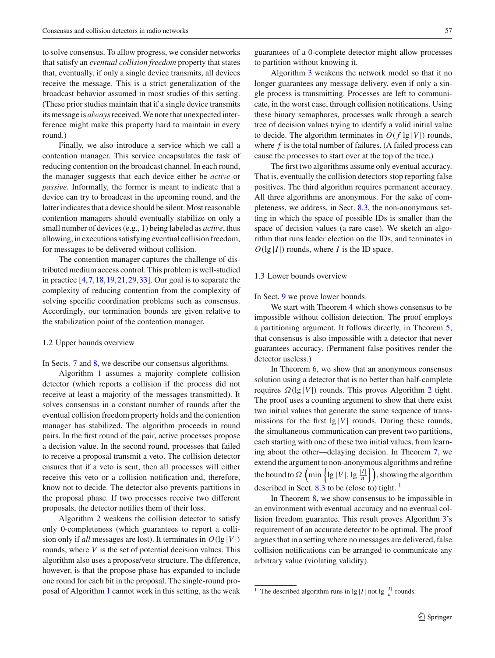to solve consensus. To allow progress, we consider networks that satisfy an *eventual collision freedom* property that states that, eventually, if only a single device transmits, all devices receive the message. This is a strict generalization of the broadcast behavior assumed in most studies of this setting. (These prior studies maintain that if a single device transmits its message is *always*received. We note that unexpected interference might make this property hard to maintain in every round.)

Finally, we also introduce a service which we call a contention manager. This service encapsulates the task of reducing contention on the broadcast channel. In each round, the manager suggests that each device either be *active* or *passive*. Informally, the former is meant to indicate that a device can try to broadcast in the upcoming round, and the latter indicates that a device should be silent. Most reasonable contention managers should eventually stabilize on only a small number of devices (e.g., 1) being labeled as *active*, thus allowing, in executions satisfying eventual collision freedom, for messages to be delivered without collision.

The contention manager captures the challenge of distributed medium access control. This problem is well-studied in practice  $[4,7,18,19,21,29,33]$  $[4,7,18,19,21,29,33]$  $[4,7,18,19,21,29,33]$  $[4,7,18,19,21,29,33]$  $[4,7,18,19,21,29,33]$  $[4,7,18,19,21,29,33]$  $[4,7,18,19,21,29,33]$  $[4,7,18,19,21,29,33]$  $[4,7,18,19,21,29,33]$  $[4,7,18,19,21,29,33]$ . Our goal is to separate the complexity of reducing contention from the complexity of solving specific coordination problems such as consensus. Accordingly, our termination bounds are given relative to the stabilization point of the contention manager.

#### 1.2 Upper bounds overview

In Sects. [7](#page-11-0) and [8,](#page-12-0) we describe our consensus algorithms.

Algorithm [1](#page-3-0) assumes a majority complete collision detector (which reports a collision if the process did not receive at least a majority of the messages transmitted). It solves consensus in a constant number of rounds after the eventual collision freedom property holds and the contention manager has stabilized. The algorithm proceeds in round pairs. In the first round of the pair, active processes propose a decision value. In the second round, processes that failed to receive a proposal transmit a veto. The collision detector ensures that if a veto is sent, then all processes will either receive this veto or a collision notification and, therefore, know not to decide. The detector also prevents partitions in the proposal phase. If two processes receive two different proposals, the detector notifies them of their loss.

Algorithm [2](#page-3-1) weakens the collision detector to satisfy only 0-completeness (which guarantees to report a collision only if *all* messages are lost). It terminates in  $O(|g|V|)$ rounds, where *V* is the set of potential decision values. This algorithm also uses a propose/veto structure. The difference, however, is that the propose phase has expanded to include one round for each bit in the proposal. The single-round proposal of Algorithm [1](#page-3-0) cannot work in this setting, as the weak guarantees of a 0-complete detector might allow processes to partition without knowing it.

Algorithm [3](#page-4-0) weakens the network model so that it no longer guarantees any message delivery, even if only a single process is transmitting. Processes are left to communicate, in the worst case, through collision notifications. Using these binary semaphores, processes walk through a search tree of decision values trying to identify a valid initial value to decide. The algorithm terminates in  $O(f \lg |V|)$  rounds, where *f* is the total number of failures. (A failed process can cause the processes to start over at the top of the tree.)

The first two algorithms assume only eventual accuracy. That is, eventually the collision detectors stop reporting false positives. The third algorithm requires permanent accuracy. All three algorithms are anonymous. For the sake of completeness, we address, in Sect. [8.3,](#page-14-0) the non-anonymous setting in which the space of possible IDs is smaller than the space of decision values (a rare case). We sketch an algorithm that runs leader election on the IDs, and terminates in  $O(\lg |I|)$  rounds, where *I* is the ID space.

## 1.3 Lower bounds overview

In Sect. [9](#page-16-0) we prove lower bounds.

We start with Theorem [4](#page-17-0) which shows consensus to be impossible without collision detection. The proof employs a partitioning argument. It follows directly, in Theorem [5,](#page-18-0) that consensus is also impossible with a detector that never guarantees accuracy. (Permanent false positives render the detector useless.)

In Theorem [6,](#page-21-0) we show that an anonymous consensus solution using a detector that is no better than half-complete requires  $\Omega$ (lg |*V*|) rounds. This proves Algorithm [2](#page-3-1) tight. The proof uses a counting argument to show that there exist two initial values that generate the same sequence of transmissions for the first  $\lg |V|$  rounds. During these rounds, the simultaneous communication can prevent two partitions, each starting with one of these two initial values, from learning about the other—delaying decision. In Theorem [7,](#page-22-0) we extend the argument to non-anonymous algorithms and refine the bound to  $\Omega$   $\left(\min\left\{\lg |V|, \lg \frac{|I|}{n}\right\}\right)$ , showing the algorithm described in Sect.  $8.3$  to be (close to) tight.  $<sup>1</sup>$  $<sup>1</sup>$  $<sup>1</sup>$ </sup>

In Theorem [8,](#page-23-0) we show consensus to be impossible in an environment with eventual accuracy and no eventual collision freedom guarantee. This result proves Algorithm [3'](#page-4-0)s requirement of an accurate detector to be optimal. The proof argues that in a setting where no messages are delivered, false collision notifications can be arranged to communicate any arbitrary value (violating validity).

<span id="page-2-0"></span><sup>&</sup>lt;sup>1</sup> The described algorithm runs in lg |*I*| not lg  $\frac{|I|}{n}$  rounds.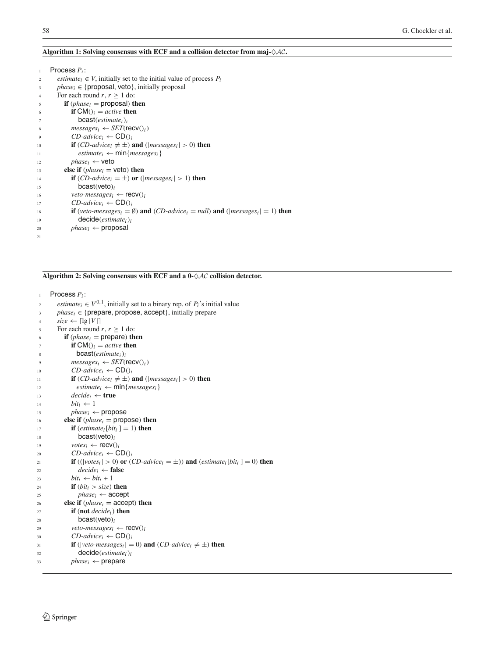#### <span id="page-3-0"></span>**Algorithm 1: Solving consensus with ECF and a collision detector from maj-**♦*AC***.**

| $\mathbf{1}$   | Process $P_i$ :                                                                                                                   |
|----------------|-----------------------------------------------------------------------------------------------------------------------------------|
| $\mathfrak{D}$ | <i>estimate<sub>i</sub></i> $\in$ <i>V</i> , initially set to the initial value of process $P_i$                                  |
| 3              | $phase_i \in \{$ proposal, veto}, initially proposal                                                                              |
| 4              | For each round r, $r > 1$ do:                                                                                                     |
| 5              | if $(phase_i =$ proposal) then                                                                                                    |
| 6              | <b>if</b> $CM()_i = active$ then                                                                                                  |
| 7              | because(i)                                                                                                                        |
| 8              | $messages_i \leftarrow SET(recv(i_i))$                                                                                            |
| 9              | $CD$ -advice <sub>i</sub> $\leftarrow$ CD() <sub>i</sub>                                                                          |
| 10             | <b>if</b> ( <i>CD-advice<sub>i</sub></i> $\neq \pm$ ) <b>and</b> (  <i>messages<sub>i</sub></i>   > 0) <b>then</b>                |
| 11             | $estimate_i \leftarrow min{messages_i}$                                                                                           |
| 12             | $phase_i \leftarrow \text{veto}$                                                                                                  |
| 13             | else if $(phasei = veto)$ then                                                                                                    |
| 14             | <b>if</b> ( <i>CD-advice<sub>i</sub></i> = $\pm$ ) or (  <i>messages<sub>i</sub></i>   > 1) then                                  |
| 15             | $bcast(veto)_i$                                                                                                                   |
| 16             | $veto-messages_i \leftarrow \text{recv}()_i$                                                                                      |
| 17             | $CD$ -advice <sub>i</sub> $\leftarrow$ CD() <sub>i</sub>                                                                          |
| 18             | <b>if</b> (veto-messages <sub>i</sub> = $\emptyset$ ) and (CD-advice <sub>i</sub> = null) and ( messages <sub>i</sub>   = 1) then |
| 19             | $decide(estimate_i)_i$                                                                                                            |
| 20             | $phase_i \leftarrow$ proposal                                                                                                     |
| 21             |                                                                                                                                   |

#### **Algorithm 2: Solving consensus with ECF and a 0-**♦*AC* **collision detector.**

```
1 Process Pi :
 estimate<sub>i</sub> \in V^{0,1}, initially set to a binary rep. of P_i's initial value
 3 phasei ∈ {prepare, propose, accept}, initially prepare
 4 size \leftarrow \lceil \lg |V| \rceil5 For each round r, r > 1 do:
           \mathbf{if} (phase<sub>i</sub> = prepare) then
              if CM()i = active then
                8 bcast(estimatei)i
              \textit{messages}_i \leftarrow \textit{SET}(\textit{recv}()_i)10 CD\text{-}advice_i \leftarrow CD()_i11 if (CD\text{-}advice_i \neq \pm) and (|message_i| > 0) then
12 estimatei ← min{messagesi }
13 \qquad \qquad \text{decide}_i \leftarrow \text{true}14 bit_i \leftarrow 1<br>15 phase_i \leftarrow 1phase_i \leftarrow propose
_{16} else if (phase<sub>i</sub> = propose) then
17 if (estimate<sub>i</sub>[bit<sub>i</sub>] = 1) then
18 bcast(veto)i
19 votes_i \leftarrow \text{recv}()_i20 CD-advice<sub>i</sub> ← CD()<sub>i</sub>
21 if ((|votes_i| > 0) or (CD-advice_i = \pm)) and (estimate_i[bit_i] = 0) then
22 \qquad \qquad decide_i \leftarrow false23 bit<sub>i</sub> \leftarrow bit<sub>i</sub> + 1
24 if (bit_i > size) then
25 phase<sub>i</sub> \leftarrow accept
26 else if (phase<sub>i</sub> = accept) then
27 if (not decidei) then
28 bcast(veto)i
29 veto-messages_i \leftarrow \text{recv}()_i30 CD\text{-}advice_i \leftarrow CD()_i31 if (|veto-messages<sub>i</sub>| = 0) and (CD-advice<sub>i</sub> \neq \pm) then
32 decide(estimate<sub>i</sub>)<sub>i</sub> phase<sub>i</sub> \leftarrow prepare
              phase_i \leftarrow prepare
```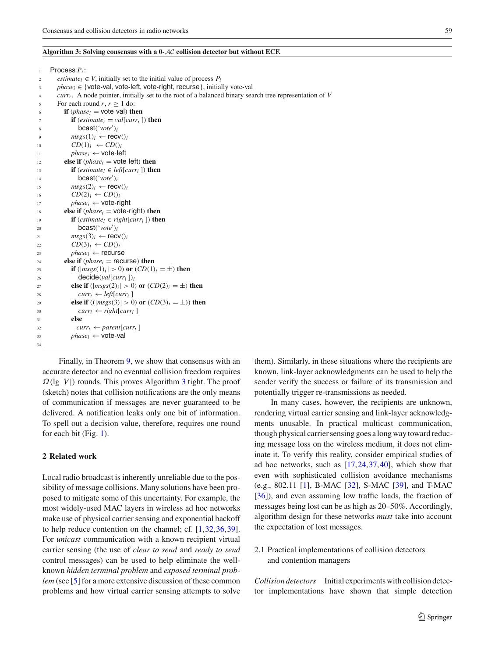#### **Algorithm 3: Solving consensus with a 0-***AC* **collision detector but without ECF.**

<span id="page-4-0"></span>

| $\mathbf{1}$             | Process $P_i$ :                                                                                                       |
|--------------------------|-----------------------------------------------------------------------------------------------------------------------|
| 2                        | <i>estimate<sub>i</sub></i> $\in$ <i>V</i> , initially set to the initial value of process $P_i$                      |
| 3                        | $phase_i \in \{ \text{vote-val}, \text{vote-left}, \text{vote-right}, \text{recursive} \}, \text{initially vote-val}$ |
| 4                        | $curr_i$ , A node pointer, initially set to the root of a balanced binary search tree representation of V             |
| $\overline{\phantom{1}}$ | For each round r, $r \ge 1$ do:                                                                                       |
| 6                        | if $(phase_i = vote$ -val) then                                                                                       |
| 7                        | <b>if</b> (estimate <sub>i</sub> = val[curr <sub>i</sub> ]) <b>then</b>                                               |
| 8                        | $\text{bcast}("vote')$                                                                                                |
| 9                        | $msgs(1)_i \leftarrow \text{recv}()_i$                                                                                |
| 10                       | $CD(1)_i \leftarrow CD()_i$                                                                                           |
| 11                       | $phase_i \leftarrow \text{vote-left}$                                                                                 |
| 12                       | else if $(phase_i = vote-left)$ then                                                                                  |
| 13                       | <b>if</b> (estimate <sub>i</sub> $\in$ left[curr <sub>i</sub> ]) <b>then</b>                                          |
| 14                       | $\text{bcast}('vote')$                                                                                                |
| 15                       | $msgs(2)_i \leftarrow \text{recv}()_i$                                                                                |
| 16                       | $CD(2)_i \leftarrow CD()_i$                                                                                           |
| 17                       | $phase_i \leftarrow \text{vote-right}$                                                                                |
| 18                       | else if $(phase_i = vote-right)$ then                                                                                 |
| 19                       | <b>if</b> (estimate <sub>i</sub> $\in$ right[curr <sub>i</sub> ]) <b>then</b>                                         |
| 20                       | $\text{bcast}('vote')$                                                                                                |
| 21                       | $msgs(3)_i \leftarrow \text{recv}()_i$                                                                                |
| 22                       | $CD(3)_i \leftarrow CD()_i$                                                                                           |
| 23                       | $phase_i \leftarrow$ recurse                                                                                          |
| 24                       | else if $(phasei = \text{recursive})$ then                                                                            |
| 25                       | <b>if</b> $( msgs(1)_i  > 0)$ or $(CD(1)_i = \pm)$ then                                                               |
| 26                       | $decide(vallcurr_i)$ ) <sub>i</sub>                                                                                   |
| 27                       | else if $( msgs(2)_i  > 0)$ or $(CD(2)_i = \pm)$ then                                                                 |
| 28                       | $curr_i \leftarrow left[curr_i]$                                                                                      |
| 29                       | else if $(( msgs(3)  > 0)$ or $(CD(3)i = \pm))$ then                                                                  |
| 30                       | $curr_i \leftarrow right[curr_i]$                                                                                     |
| 31                       | else                                                                                                                  |
| 32                       | $curr_i \leftarrow parent[curr_i]$                                                                                    |
| 33                       | $phase_i \leftarrow \text{vote-val}$                                                                                  |
| 34                       |                                                                                                                       |

Finally, in Theorem [9,](#page-24-0) we show that consensus with an accurate detector and no eventual collision freedom requires  $\Omega$ (lg |*V*|) rounds. This proves Algorithm [3](#page-4-0) tight. The proof (sketch) notes that collision notifications are the only means of communication if messages are never guaranteed to be delivered. A notification leaks only one bit of information. To spell out a decision value, therefore, requires one round for each bit (Fig. [1\)](#page-5-0).

## **2 Related work**

Local radio broadcast is inherently unreliable due to the possibility of message collisions. Many solutions have been proposed to mitigate some of this uncertainty. For example, the most widely-used MAC layers in wireless ad hoc networks make use of physical carrier sensing and exponential backoff to help reduce contention on the channel; cf. [\[1,](#page-28-11)[32](#page-28-3)[,36](#page-29-2)[,39](#page-29-3)]. For *unicast* communication with a known recipient virtual carrier sensing (the use of *clear to send* and *ready to send* control messages) can be used to help eliminate the wellknown *hidden terminal problem* and *exposed terminal problem* (see [\[5](#page-28-12)] for a more extensive discussion of these common problems and how virtual carrier sensing attempts to solve them). Similarly, in these situations where the recipients are known, link-layer acknowledgments can be used to help the sender verify the success or failure of its transmission and potentially trigger re-transmissions as needed.

In many cases, however, the recipients are unknown, rendering virtual carrier sensing and link-layer acknowledgments unusable. In practical multicast communication, though physical carrier sensing goes a long way toward reducing message loss on the wireless medium, it does not eliminate it. To verify this reality, consider empirical studies of ad hoc networks, such as  $[17, 24, 37, 40]$  $[17, 24, 37, 40]$  $[17, 24, 37, 40]$  $[17, 24, 37, 40]$  $[17, 24, 37, 40]$  $[17, 24, 37, 40]$ , which show that even with sophisticated collision avoidance mechanisms (e.g., 802.11 [\[1](#page-28-11)], B-MAC [\[32](#page-28-3)], S-MAC [\[39\]](#page-29-3), and T-MAC [\[36](#page-29-2)]), and even assuming low traffic loads, the fraction of messages being lost can be as high as 20–50%. Accordingly, algorithm design for these networks *must* take into account the expectation of lost messages.

## 2.1 Practical implementations of collision detectors and contention managers

*Collision detectors* Initial experiments with collision detector implementations have shown that simple detection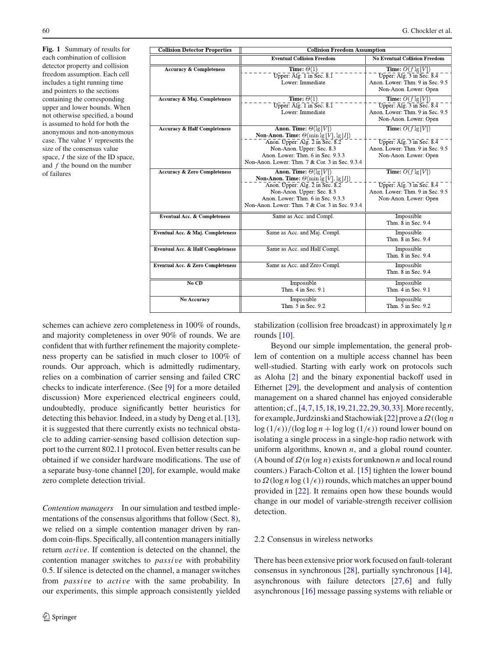<span id="page-5-0"></span>**Fig. 1** Summary of results for each combination of collision detector property and collision freedom assumption. Each cell includes a tight running time and pointers to the sections containing the corresponding upper and lower bounds. When not otherwise specified, a bound is assumed to hold for both the anonymous and non-anonymous case. The value *V* represents the size of the consensus value space, *I* the size of the ID space, and *f* the bound on the number of failures

| <b>Collision Detector Properties</b>         | <b>Collision Freedom Assumption</b>                                     |                                                                                  |  |  |
|----------------------------------------------|-------------------------------------------------------------------------|----------------------------------------------------------------------------------|--|--|
|                                              | <b>Eventual Collision Freedom</b>                                       | <b>No Eventual Collision Freedom</b>                                             |  |  |
| <b>Accuracy &amp; Completeness</b>           | Time: $\Theta(1)$                                                       | <b>Time:</b> $O(f \lg  V )$                                                      |  |  |
|                                              | Upper: Alg. 1 in Sec. 8.1                                               | Upper: $\overline{Alg}$ $\overline{3}$ in Sec. $\overline{8}$ $\overline{4}$     |  |  |
|                                              | Lower: Immediate                                                        | Anon. Lower: Thm. 9 in Sec. 9.5                                                  |  |  |
|                                              |                                                                         | Non-Anon. Lower: Open                                                            |  |  |
| <b>Accuracy &amp; Maj. Completeness</b>      | <b>Time:</b> $\Theta(1)$                                                | <b>Time:</b> $O(f \lg  V )$                                                      |  |  |
|                                              | Upper: Alg. 1 in Sec. 8.1                                               | Upper: $\overline{Alg}$ . $\overline{3}$ in Sec. $\overline{8}$ . $\overline{4}$ |  |  |
|                                              | Lower: Immediate                                                        | Anon. Lower: Thm. 9 in Sec. 9.5                                                  |  |  |
|                                              |                                                                         | Non-Anon. Lower: Open                                                            |  |  |
| <b>Accuracy &amp; Half Completeness</b>      | Anon. Time: $\Theta(\lg V )$                                            | <b>Time:</b> $O(f \lg  V )$                                                      |  |  |
|                                              | Non-Anon. Time: $\Theta(\min \lg  V , \lg  I )$                         |                                                                                  |  |  |
|                                              | Anon. Upper: $\overline{Alg}$ . $\overline{2}$ in Sec. $\overline{8.2}$ | Upper: $\overline{Alg}$ . $\overline{3}$ in Sec. $\overline{8}$ . $\overline{4}$ |  |  |
|                                              | Non-Anon. Upper: Sec. 8.3                                               | Anon. Lower: Thm. 9 in Sec. 9.5                                                  |  |  |
|                                              | Anon. Lower: Thm. 6 in Sec. 9.3.3                                       | Non-Anon. Lower: Open                                                            |  |  |
|                                              | Non-Anon. Lower: Thm. 7 & Cor. 3 in Sec. 9.3.4                          |                                                                                  |  |  |
| <b>Accuracy &amp; Zero Completeness</b>      | <b>Anon. Time:</b> $\Theta(\lg V )$                                     | <b>Time:</b> $O(f \lg  V )$                                                      |  |  |
|                                              | <b>Non-Anon. Time:</b> $\Theta(\min \lg  V , \lg  I )$                  |                                                                                  |  |  |
|                                              | Anon. Upper: Alg. 2 in Sec. 8.2                                         | Upper: $\overline{Alg}$ . $\overline{3}$ in Sec. $\overline{8}$ . $\overline{4}$ |  |  |
|                                              | Non-Anon. Upper: Sec. 8.3                                               | Anon. Lower: Thm. 9 in Sec. 9.5                                                  |  |  |
|                                              | Anon. Lower: Thm. 6 in Sec. 9.3.3                                       | Non-Anon. Lower: Open                                                            |  |  |
|                                              | Non-Anon. Lower: Thm. 7 & Cor. 3 in Sec. 9.3.4                          |                                                                                  |  |  |
| <b>Eventual Acc. &amp; Completeness</b>      | Same as Acc. and Compl.                                                 | Impossible                                                                       |  |  |
|                                              |                                                                         | Thm. 8 in Sec. 9.4                                                               |  |  |
| Eventual Acc. & Maj. Completeness            | Same as Acc. and Maj. Compl.                                            | Impossible                                                                       |  |  |
|                                              |                                                                         | Thm. 8 in Sec. 9.4                                                               |  |  |
| <b>Eventual Acc. &amp; Half Completeness</b> | Same as Acc. and Half Compl.                                            | Impossible                                                                       |  |  |
|                                              |                                                                         | Thm. 8 in Sec. 9.4                                                               |  |  |
|                                              |                                                                         |                                                                                  |  |  |
| <b>Eventual Acc. &amp; Zero Completeness</b> | Same as Acc. and Zero Compl.                                            | Impossible<br>Thm. 8 in Sec. 9.4                                                 |  |  |
|                                              |                                                                         |                                                                                  |  |  |
| No CD                                        | Impossible                                                              | Impossible                                                                       |  |  |
|                                              | Thm. 4 in Sec. 9.1                                                      | Thm. 4 in Sec. 9.1                                                               |  |  |
| <b>No Accuracy</b>                           | Impossible                                                              | Impossible                                                                       |  |  |
|                                              | Thm. 5 in Sec. 9.2                                                      | Thm. 5 in Sec. 9.2                                                               |  |  |

schemes can achieve zero completeness in 100% of rounds, and majority completeness in over 90% of rounds. We are confident that with further refinement the majority completeness property can be satisfied in much closer to 100% of rounds. Our approach, which is admittedly rudimentary, relies on a combination of carrier sensing and failed CRC checks to indicate interference. (See [\[9\]](#page-28-15) for a more detailed discussion) More experienced electrical engineers could, undoubtedly, produce significantly better heuristics for detecting this behavior. Indeed, in a study by Deng et al. [\[13](#page-28-2)], it is suggested that there currently exists no technical obstacle to adding carrier-sensing based collision detection support to the current 802.11 protocol. Even better results can be obtained if we consider hardware modifications. The use of a separate busy-tone channel [\[20](#page-28-16)], for example, would make zero complete detection trivial.

*Contention managers* In our simulation and testbed imple-mentations of the consensus algorithms that follow (Sect. [8\)](#page-12-0), we relied on a simple contention manager driven by random coin-flips. Specifically, all contention managers initially return *acti*v*e*. If contention is detected on the channel, the contention manager switches to *passi*v*e* with probability 0.5. If silence is detected on the channel, a manager switches from *passi*v*e* to *acti*v*e* with the same probability. In our experiments, this simple approach consistently yielded stabilization (collision free broadcast) in approximately lg *n* rounds [\[10](#page-28-17)].

Beyond our simple implementation, the general problem of contention on a multiple access channel has been well-studied. Starting with early work on protocols such as Aloha [\[2\]](#page-28-18) and the binary exponential backoff used in Ethernet [\[29\]](#page-28-0), the development and analysis of contention management on a shared channel has enjoyed considerable attention; cf., [\[4,](#page-28-6)[7](#page-28-7)[,15](#page-28-19)[,18](#page-28-8),[19,](#page-28-9)[21](#page-28-10)[,22](#page-28-20)[,29](#page-28-0)[,30](#page-28-21),[33\]](#page-29-1). More recently, for example, Jurdzinski and Stachowiak [\[22\]](#page-28-20) prove a Ω((log *n*  $\log(1/\epsilon)$ /( $\log \log n + \log \log(1/\epsilon)$ ) round lower bound on isolating a single process in a single-hop radio network with uniform algorithms, known *n*, and a global round counter. (A bound of Ω(*n* log *n*) exists for unknown *n* and local round counters.) Farach-Colton et al. [\[15\]](#page-28-19) tighten the lower bound to  $\Omega(\log n \log(1/\epsilon))$  rounds, which matches an upper bound provided in [\[22\]](#page-28-20). It remains open how these bounds would change in our model of variable-strength receiver collision detection.

## 2.2 Consensus in wireless networks

There has been extensive prior work focused on fault-tolerant consensus in synchronous [\[28\]](#page-28-22), partially synchronous [\[14](#page-28-23)], asynchronous with failure detectors  $[27,6]$  $[27,6]$  $[27,6]$  and fully asynchronous [\[16](#page-28-25)] message passing systems with reliable or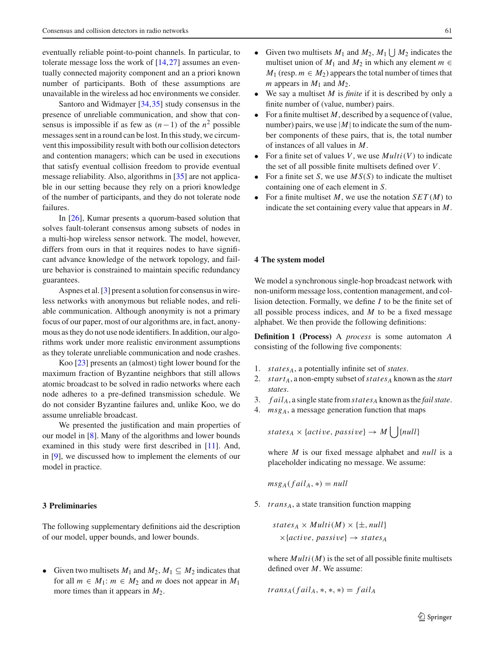eventually reliable point-to-point channels. In particular, to tolerate message loss the work of [\[14](#page-28-23),[27](#page-28-24)] assumes an eventually connected majority component and an a priori known number of participants. Both of these assumptions are unavailable in the wireless ad hoc environments we consider.

Santoro and Widmayer [\[34,](#page-29-6)[35\]](#page-29-7) study consensus in the presence of unreliable communication, and show that consensus is impossible if as few as  $(n-1)$  of the *n*<sup>2</sup> possible messages sent in a round can be lost. In this study, we circumvent this impossibility result with both our collision detectors and contention managers; which can be used in executions that satisfy eventual collision freedom to provide eventual message reliability. Also, algorithms in [\[35\]](#page-29-7) are not applicable in our setting because they rely on a priori knowledge of the number of participants, and they do not tolerate node failures.

In [\[26\]](#page-28-26), Kumar presents a quorum-based solution that solves fault-tolerant consensus among subsets of nodes in a multi-hop wireless sensor network. The model, however, differs from ours in that it requires nodes to have significant advance knowledge of the network topology, and failure behavior is constrained to maintain specific redundancy guarantees.

Aspnes et al. [\[3\]](#page-28-27) present a solution for consensus in wireless networks with anonymous but reliable nodes, and reliable communication. Although anonymity is not a primary focus of our paper, most of our algorithms are, in fact, anonymous as they do not use node identifiers. In addition, our algorithms work under more realistic environment assumptions as they tolerate unreliable communication and node crashes.

Koo [\[23](#page-28-28)] presents an (almost) tight lower bound for the maximum fraction of Byzantine neighbors that still allows atomic broadcast to be solved in radio networks where each node adheres to a pre-defined transmission schedule. We do not consider Byzantine failures and, unlike Koo, we do assume unreliable broadcast.

We presented the justification and main properties of our model in [\[8](#page-28-29)]. Many of the algorithms and lower bounds examined in this study were first described in [\[11\]](#page-28-30). And, in [\[9](#page-28-15)], we discussed how to implement the elements of our model in practice.

### <span id="page-6-1"></span>**3 Preliminaries**

The following supplementary definitions aid the description of our model, upper bounds, and lower bounds.

• Given two multisets  $M_1$  and  $M_2$ ,  $M_1 \subseteq M_2$  indicates that for all  $m \in M_1$ :  $m \in M_2$  and  $m$  does not appear in  $M_1$ more times than it appears in *M*2.

- Given two multisets  $M_1$  and  $M_2$ ,  $M_1 \bigcup M_2$  indicates the multiset union of  $M_1$  and  $M_2$  in which any element  $m \in$  $M_1$  (resp.  $m \in M_2$ ) appears the total number of times that *m* appears in  $M_1$  and  $M_2$ .
- We say a multiset *M* is *finite* if it is described by only a finite number of (value, number) pairs.
- For a finite multiset *M*, described by a sequence of (value, number) pairs, we use  $|M|$  to indicate the sum of the number components of these pairs, that is, the total number of instances of all values in *M*.
- For a finite set of values *V*, we use  $Multi(V)$  to indicate the set of all possible finite multisets defined over *V*.
- For a finite set *S*, we use  $MS(S)$  to indicate the multiset containing one of each element in *S*.
- For a finite multiset  $M$ , we use the notation  $SET(M)$  to indicate the set containing every value that appears in *M*.

#### <span id="page-6-0"></span>**4 The system model**

We model a synchronous single-hop broadcast network with non-uniform message loss, contention management, and collision detection. Formally, we define *I* to be the finite set of all possible process indices, and *M* to be a fixed message alphabet. We then provide the following definitions:

**Definition 1 (Process)** A *process* is some automaton *A* consisting of the following five components:

- 1. *states<sub>A</sub>*, a potentially infinite set of *states*.
- 2. *start<sub>A</sub>*, a non-empty subset of *states<sub>A</sub>* known as the *start states*.
- 3.  $fail_A$ , a single state from  $states_A$  known as the *fail state*.
- 4. *msgA*, a message generation function that maps

 $states_A \times \{active, passive\} \rightarrow M \mid \{[null]\}$ 

where *M* is our fixed message alphabet and *null* is a placeholder indicating no message. We assume:

 $msg_A(fail_A, *) = null$ 

5. *trans<sub>A</sub>*, a state transition function mapping

*states<sub>A</sub>*  $\times$  *Multi*(*M*)  $\times$  { $\pm$ *, null*}  $\times$ *{active, passive}*  $\rightarrow$  *states<sub>A</sub>* 

where  $Multi(M)$  is the set of all possible finite multisets defined over *M*. We assume:

$$
trans_A(fail_A, *, *, *) = fail_A
$$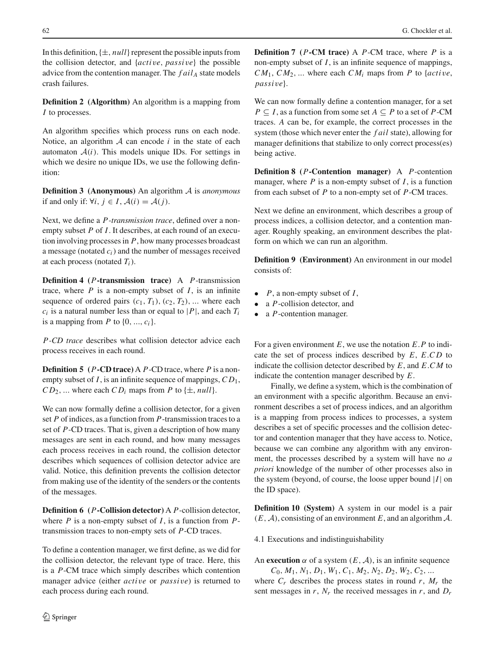In this definition,  $\{\pm, null\}$  represent the possible inputs from the collision detector, and {*acti*v*e*, *passi*v*e*} the possible advice from the contention manager. The  $fail_A$  state models crash failures.

**Definition 2 (Algorithm)** An algorithm is a mapping from *I* to processes.

An algorithm specifies which process runs on each node. Notice, an algorithm *A* can encode *i* in the state of each automaton  $A(i)$ . This models unique IDs. For settings in which we desire no unique IDs, we use the following definition:

**Definition 3 (Anonymous)** An algorithm *A* is *anonymous* if and only if:  $\forall i, j \in I$ ,  $\mathcal{A}(i) = \mathcal{A}(j)$ .

Next, we define a *P-transmission trace*, defined over a nonempty subset *P* of *I*. It describes, at each round of an execution involving processes in *P*, how many processes broadcast a message (notated *ci*) and the number of messages received at each process (notated *Ti*).

**Definition 4 (***P***-transmission trace)** A *P*-transmission trace, where  $P$  is a non-empty subset of  $I$ , is an infinite sequence of ordered pairs  $(c_1, T_1)$ ,  $(c_2, T_2)$ , ... where each  $c_i$  is a natural number less than or equal to  $|P|$ , and each  $T_i$ is a mapping from  $P$  to  $\{0, ..., c_i\}$ .

*P-CD trace* describes what collision detector advice each process receives in each round.

**Definition 5 (***P***-CD trace)** A *P*-CD trace, where *P* is a nonempty subset of *I*, is an infinite sequence of mappings, *C D*1,  $CD_2$ , ... where each  $CD_i$  maps from *P* to  $\{\pm, null\}$ .

We can now formally define a collision detector, for a given set *P* of indices, as a function from *P*-transmission traces to a set of *P*-CD traces. That is, given a description of how many messages are sent in each round, and how many messages each process receives in each round, the collision detector describes which sequences of collision detector advice are valid. Notice, this definition prevents the collision detector from making use of the identity of the senders or the contents of the messages.

**Definition 6 (***P***-Collision detector)** A *P*-collision detector, where *P* is a non-empty subset of *I*, is a function from *P*transmission traces to non-empty sets of *P*-CD traces.

To define a contention manager, we first define, as we did for the collision detector, the relevant type of trace. Here, this is a *P*-CM trace which simply describes which contention manager advice (either *acti*v*e* or *passi*v*e*) is returned to each process during each round.

**Definition 7 (***P***-CM trace)** A *P*-CM trace, where *P* is a non-empty subset of *I*, is an infinite sequence of mappings,  $CM_1$ ,  $CM_2$ , ... where each  $CM_i$  maps from *P* to {*active*, *passi*v*e*}.

We can now formally define a contention manager, for a set *P* ⊆ *I*, as a function from some set  $A ⊆ P$  to a set of *P*-CM traces. *A* can be, for example, the correct processes in the system (those which never enter the *f ail* state), allowing for manager definitions that stabilize to only correct process(es) being active.

**Definition 8 (***P***-Contention manager)** A *P*-contention manager, where *P* is a non-empty subset of *I*, is a function from each subset of *P* to a non-empty set of *P*-CM traces.

Next we define an environment, which describes a group of process indices, a collision detector, and a contention manager. Roughly speaking, an environment describes the platform on which we can run an algorithm.

**Definition 9 (Environment)** An environment in our model consists of:

- *P*, a non-empty subset of *I*,
- a *P*-collision detector, and
- a *P*-contention manager.

For a given environment *E*, we use the notation *E*.*P* to indicate the set of process indices described by *E*, *E*.*C D* to indicate the collision detector described by *E*, and *E*.*C M* to indicate the contention manager described by *E*.

Finally, we define a system, which is the combination of an environment with a specific algorithm. Because an environment describes a set of process indices, and an algorithm is a mapping from process indices to processes, a system describes a set of specific processes and the collision detector and contention manager that they have access to. Notice, because we can combine any algorithm with any environment, the processes described by a system will have no *a priori* knowledge of the number of other processes also in the system (beyond, of course, the loose upper bound  $|I|$  on the ID space).

**Definition 10 (System)** A system in our model is a pair  $(E, \mathcal{A})$ , consisting of an environment *E*, and an algorithm  $\mathcal{A}$ .

4.1 Executions and indistinguishability

An **execution**  $\alpha$  of a system  $(E, \mathcal{A})$ , is an infinite sequence *C*0, *M*1, *N*1, *D*1, *W*1,*C*1, *M*2, *N*2, *D*2, *W*2,*C*2, ...

where  $C_r$  describes the process states in round  $r$ ,  $M_r$  the sent messages in  $r$ ,  $N_r$  the received messages in  $r$ , and  $D_r$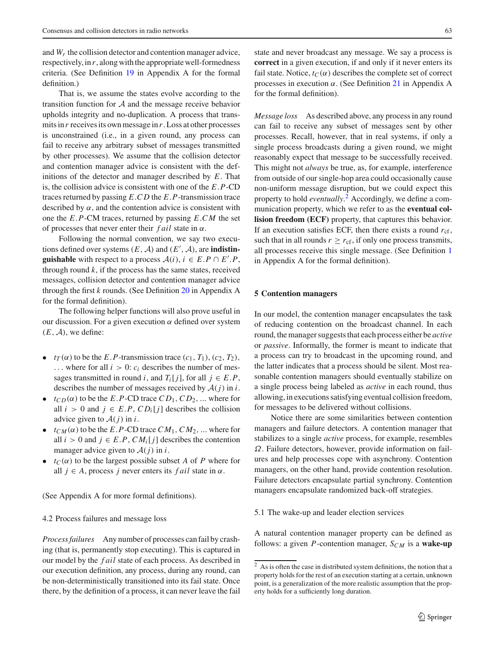and *Wr* the collision detector and contention manager advice, respectively, in*r*, along with the appropriate well-formedness criteria. (See Definition [19](#page-26-0) in Appendix A for the formal definition.)

That is, we assume the states evolve according to the transition function for *A* and the message receive behavior upholds integrity and no-duplication. A process that transmits in*r* receives its own message in*r*. Loss at other processes is unconstrained (i.e., in a given round, any process can fail to receive any arbitrary subset of messages transmitted by other processes). We assume that the collision detector and contention manager advice is consistent with the definitions of the detector and manager described by *E*. That is, the collision advice is consistent with one of the *E*.*P*-CD traces returned by passing *E*.*C D* the *E*.*P*-transmission trace described by  $\alpha$ , and the contention advice is consistent with one the *E*.*P*-CM traces, returned by passing *E*.*C M* the set of processes that never enter their *f ail* state in α.

Following the normal convention, we say two executions defined over systems  $(E, \mathcal{A})$  and  $(E', \mathcal{A})$ , are **indistinguishable** with respect to a process  $A(i)$ ,  $i \in E.P \cap E'.P$ , through round  $k$ , if the process has the same states, received messages, collision detector and contention manager advice through the first *k* rounds. (See Definition [20](#page-27-0) in Appendix A for the formal definition).

The following helper functions will also prove useful in our discussion. For a given execution  $\alpha$  defined over system  $(E, \mathcal{A})$ , we define:

- *t<sub>T</sub>*( $\alpha$ ) to be the *E*. *P*-transmission trace ( $c_1$ ,  $T_1$ ), ( $c_2$ ,  $T_2$ ), ... where for all  $i > 0$ :  $c_i$  describes the number of messages transmitted in round *i*, and  $T_i[j]$ , for all  $j \in E.P$ , describes the number of messages received by  $A(j)$  in *i*.
- $t_{CD}(\alpha)$  to be the *E*. *P*-CD trace  $CD_1$ ,  $CD_2$ , ... where for all  $i > 0$  and  $j \in E.P$ ,  $CD<sub>i</sub>[j]$  describes the collision advice given to  $A(j)$  in *i*.
- $t_{CM}(\alpha)$  to be the *E*. *P*-CD trace  $CM_1$ ,  $CM_2$ , ... where for all  $i > 0$  and  $j \in E.P$ ,  $CM_i[j]$  describes the contention manager advice given to  $A(j)$  in *i*.
- $t_{C}(\alpha)$  to be the largest possible subset *A* of *P* where for all  $j \in A$ , process *j* never enters its *f ail* state in  $\alpha$ .

(See Appendix A for more formal definitions).

#### 4.2 Process failures and message loss

*Process failures* Any number of processes can fail by crashing (that is, permanently stop executing). This is captured in our model by the *f ail* state of each process. As described in our execution definition, any process, during any round, can be non-deterministically transitioned into its fail state. Once there, by the definition of a process, it can never leave the fail state and never broadcast any message. We say a process is **correct** in a given execution, if and only if it never enters its fail state. Notice,  $t_C(\alpha)$  describes the complete set of correct processes in execution  $\alpha$ . (See Definition [21](#page-27-1) in Appendix A for the formal definition).

*Message loss* As described above, any process in any round can fail to receive any subset of messages sent by other processes. Recall, however, that in real systems, if only a single process broadcasts during a given round, we might reasonably expect that message to be successfully received. This might not *always* be true, as, for example, interference from outside of our single-hop area could occasionally cause non-uniform message disruption, but we could expect this property to hold *eventually*. [2](#page-8-1) Accordingly, we define a communication property, which we refer to as the **eventual collision freedom (ECF)** property, that captures this behavior. If an execution satisfies ECF, then there exists a round  $r_{cf}$ , such that in all rounds  $r \ge r_{\rm cf}$ , if only one process transmits, all processes receive this single message. (See Definition [1](#page-27-2) in Appendix A for the formal definition).

## <span id="page-8-0"></span>**5 Contention managers**

In our model, the contention manager encapsulates the task of reducing contention on the broadcast channel. In each round, the manager suggests that each process either be *active* or *passive*. Informally, the former is meant to indicate that a process can try to broadcast in the upcoming round, and the latter indicates that a process should be silent. Most reasonable contention managers should eventually stabilize on a single process being labeled as *active* in each round, thus allowing, in executions satisfying eventual collision freedom, for messages to be delivered without collisions.

Notice there are some similarities between contention managers and failure detectors. A contention manager that stabilizes to a single *active* process, for example, resembles Ω. Failure detectors, however, provide information on failures and help processes cope with asynchrony. Contention managers, on the other hand, provide contention resolution. Failure detectors encapsulate partial synchrony. Contention managers encapsulate randomized back-off strategies.

#### 5.1 The wake-up and leader election services

A natural contention manager property can be defined as follows: a given *P*-contention manager,  $S_{CM}$  is a **wake-up** 

<span id="page-8-1"></span> $\overline{2}$  As is often the case in distributed system definitions, the notion that a property holds for the rest of an execution starting at a certain, unknown point, is a generalization of the more realistic assumption that the property holds for a sufficiently long duration.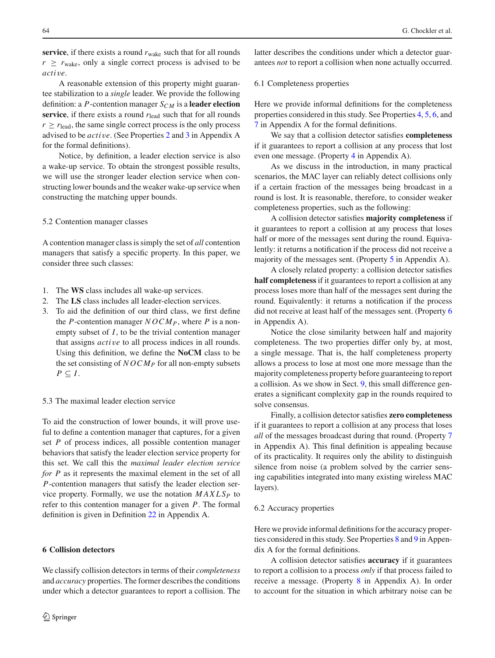**service**, if there exists a round *r*wake such that for all rounds  $r \geq r_{\text{wake}}$ , only a single correct process is advised to be *acti*v*e*.

A reasonable extension of this property might guarantee stabilization to a *single* leader. We provide the following definition: a *P*-contention manager  $S_{CM}$  is a **leader election service**, if there exists a round  $r_{\text{lead}}$  such that for all rounds  $r \ge r_{\text{lead}}$ , the same single correct process is the only process advised to be *acti*v*e*. (See Properties [2](#page-27-3) and [3](#page-27-4) in Appendix A for the formal definitions).

Notice, by definition, a leader election service is also a wake-up service. To obtain the strongest possible results, we will use the stronger leader election service when constructing lower bounds and the weaker wake-up service when constructing the matching upper bounds.

## 5.2 Contention manager classes

A contention manager class is simply the set of *all* contention managers that satisfy a specific property. In this paper, we consider three such classes:

- 1. The **WS** class includes all wake-up services.
- 2. The **LS** class includes all leader-election services.
- 3. To aid the definition of our third class, we first define the *P*-contention manager  $NOCM<sub>P</sub>$ , where *P* is a nonempty subset of *I*, to be the trivial contention manager that assigns *acti*v*e* to all process indices in all rounds. Using this definition, we define the **NoCM** class to be the set consisting of  $NOCM<sub>P</sub>$  for all non-empty subsets  $P \subseteq I$ .

#### 5.3 The maximal leader election service

To aid the construction of lower bounds, it will prove useful to define a contention manager that captures, for a given set *P* of process indices, all possible contention manager behaviors that satisfy the leader election service property for this set. We call this the *maximal leader election service for P* as it represents the maximal element in the set of all *P*-contention managers that satisfy the leader election service property. Formally, we use the notation  $MAXLSp$  to refer to this contention manager for a given *P*. The formal definition is given in Definition [22](#page-27-5) in Appendix A.

### <span id="page-9-0"></span>**6 Collision detectors**

We classify collision detectors in terms of their *completeness* and *accuracy* properties. The former describes the conditions under which a detector guarantees to report a collision. The

latter describes the conditions under which a detector guarantees *not* to report a collision when none actually occurred.

#### 6.1 Completeness properties

Here we provide informal definitions for the completeness properties considered in this study. See Properties [4,](#page-27-6) [5,](#page-27-7) [6,](#page-27-8) and [7](#page-27-9) in Appendix A for the formal definitions.

We say that a collision detector satisfies **completeness** if it guarantees to report a collision at any process that lost even one message. (Property [4](#page-27-6) in Appendix A).

As we discuss in the introduction, in many practical scenarios, the MAC layer can reliably detect collisions only if a certain fraction of the messages being broadcast in a round is lost. It is reasonable, therefore, to consider weaker completeness properties, such as the following:

A collision detector satisfies **majority completeness** if it guarantees to report a collision at any process that loses half or more of the messages sent during the round. Equivalently: it returns a notification if the process did not receive a majority of the messages sent. (Property [5](#page-27-7) in Appendix A).

A closely related property: a collision detector satisfies **half completeness** if it guarantees to report a collision at any process loses more than half of the messages sent during the round. Equivalently: it returns a notification if the process did not receive at least half of the messages sent. (Property [6](#page-27-8) in Appendix A).

Notice the close similarity between half and majority completeness. The two properties differ only by, at most, a single message. That is, the half completeness property allows a process to lose at most one more message than the majority completeness property before guaranteeing to report a collision. As we show in Sect. [9,](#page-16-0) this small difference generates a significant complexity gap in the rounds required to solve consensus.

Finally, a collision detector satisfies **zero completeness** if it guarantees to report a collision at any process that loses *all* of the messages broadcast during that round. (Property [7](#page-27-9) in Appendix A). This final definition is appealing because of its practicality. It requires only the ability to distinguish silence from noise (a problem solved by the carrier sensing capabilities integrated into many existing wireless MAC layers).

#### 6.2 Accuracy properties

Here we provide informal definitions for the accuracy properties considered in this study. See Properties [8](#page-27-10) and [9](#page-27-11) in Appendix A for the formal definitions.

A collision detector satisfies **accuracy** if it guarantees to report a collision to a process *only* if that process failed to receive a message. (Property [8](#page-27-10) in Appendix A). In order to account for the situation in which arbitrary noise can be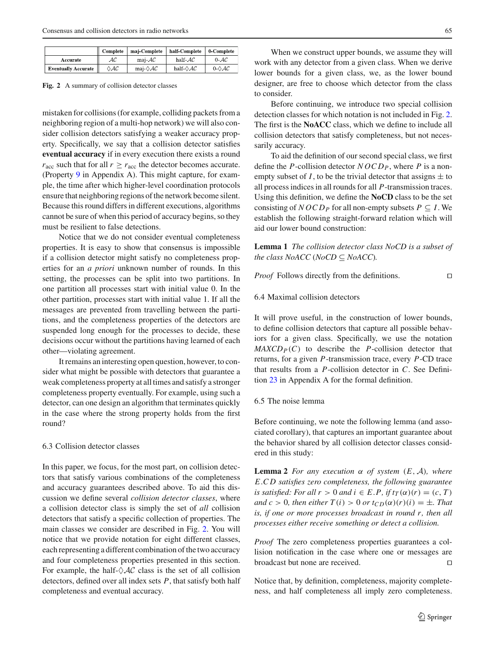|                            | Complete | mai Complete       | half Complete      | 0-Complete       |
|----------------------------|----------|--------------------|--------------------|------------------|
| Accurate                   | AC.      | mai $AC$           | half $AC$          | $0-A\mathcal{C}$ |
| <b>Eventually Accurate</b> | ♦AC      | maj- $\Diamond AC$ | half $\Diamond AC$ | $0 \Diamond AC$  |

<span id="page-10-0"></span>Fig. 2 A summary of collision detector classes

mistaken for collisions (for example, colliding packets from a neighboring region of a multi-hop network) we will also consider collision detectors satisfying a weaker accuracy property. Specifically, we say that a collision detector satisfies **eventual accuracy** if in every execution there exists a round  $r_{\text{acc}}$  such that for all  $r \ge r_{\text{acc}}$  the detector becomes accurate. (Property [9](#page-27-11) in Appendix A). This might capture, for example, the time after which higher-level coordination protocols ensure that neighboring regions of the network become silent. Because this round differs in different executions, algorithms cannot be sure of when this period of accuracy begins, so they must be resilient to false detections.

Notice that we do not consider eventual completeness properties. It is easy to show that consensus is impossible if a collision detector might satisfy no completeness properties for an *a priori* unknown number of rounds. In this setting, the processes can be split into two partitions. In one partition all processes start with initial value 0. In the other partition, processes start with initial value 1. If all the messages are prevented from travelling between the partitions, and the completeness properties of the detectors are suspended long enough for the processes to decide, these decisions occur without the partitions having learned of each other—violating agreement.

It remains an interesting open question, however, to consider what might be possible with detectors that guarantee a weak completeness property at all times and satisfy a stronger completeness property eventually. For example, using such a detector, can one design an algorithm that terminates quickly in the case where the strong property holds from the first round?

## 6.3 Collision detector classes

In this paper, we focus, for the most part, on collision detectors that satisfy various combinations of the completeness and accuracy guarantees described above. To aid this discussion we define several *collision detector classes*, where a collision detector class is simply the set of *all* collision detectors that satisfy a specific collection of properties. The main classes we consider are described in Fig. [2.](#page-10-0) You will notice that we provide notation for eight different classes, each representing a different combination of the two accuracy and four completeness properties presented in this section. For example, the half- $\Diamond$ *AC* class is the set of all collision detectors, defined over all index sets *P*, that satisfy both half completeness and eventual accuracy.

When we construct upper bounds, we assume they will work with any detector from a given class. When we derive lower bounds for a given class, we, as the lower bound designer, are free to choose which detector from the class to consider.

Before continuing, we introduce two special collision detection classes for which notation is not included in Fig. [2.](#page-10-0) The first is the **NoACC** class, which we define to include all collision detectors that satisfy completeness, but not necessarily accuracy.

To aid the definition of our second special class, we first define the *P*-collision detector *NOCDP*, where *P* is a nonempty subset of *I*, to be the trivial detector that assigns  $\pm$  to all process indices in all rounds for all *P*-transmission traces. Using this definition, we define the **NoCD** class to be the set consisting of *NOCD<sub>P</sub>* for all non-empty subsets  $P \subseteq I$ . We establish the following straight-forward relation which will aid our lower bound construction:

<span id="page-10-2"></span>**Lemma 1** *The collision detector class NoCD is a subset of the class NoACC* (*NoCD*  $\subseteq$  *NoACC*).

*Proof* Follows directly from the definitions. 
$$
\Box
$$

## 6.4 Maximal collision detectors

It will prove useful, in the construction of lower bounds, to define collision detectors that capture all possible behaviors for a given class. Specifically, we use the notation  $MAXCD<sub>P</sub>(C)$  to describe the *P*-collision detector that returns, for a given *P*-transmission trace, every *P*-CD trace that results from a *P*-collision detector in *C*. See Definition [23](#page-28-31) in Appendix A for the formal definition.

## 6.5 The noise lemma

Before continuing, we note the following lemma (and associated corollary), that captures an important guarantee about the behavior shared by all collision detector classes considered in this study:

<span id="page-10-1"></span>**Lemma 2** *For any execution*  $\alpha$  *of system*  $(E, \mathcal{A})$ *, where E*.*C D satisfies zero completeness, the following guarantee is satisfied: For all r* > 0 *and i*  $\in$  *E.P, if t<sub>T</sub>*( $\alpha$ )( $r$ ) = ( $c$ , *T*) *and c* > 0*, then either*  $T(i)$  > 0 *or*  $t_{CD}(\alpha)(r)(i) = \pm$ *. That is, if one or more processes broadcast in round r, then all processes either receive something or detect a collision.*

*Proof* The zero completeness properties guarantees a collision notification in the case where one or messages are broadcast but none are received.

Notice that, by definition, completeness, majority completeness, and half completeness all imply zero completeness.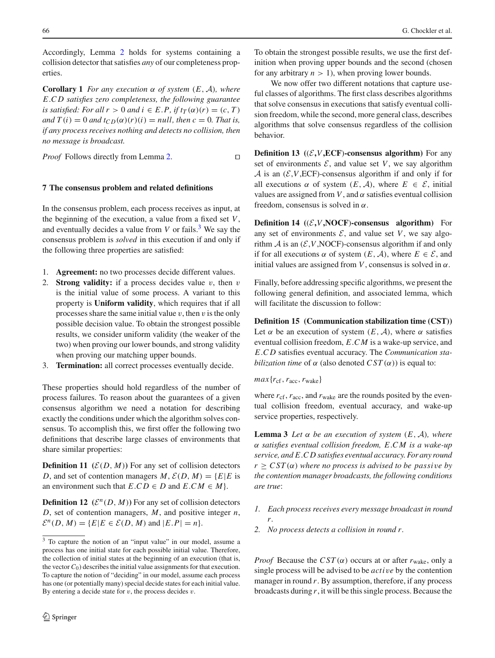<span id="page-11-2"></span>Accordingly, Lemma [2](#page-10-1) holds for systems containing a collision detector that satisfies *any* of our completeness properties.

**Corollary 1** *For any execution*  $\alpha$  *of system*  $(E, \mathcal{A})$ *, where E*.*C D satisfies zero completeness, the following guarantee is satisfied:* For all  $r > 0$  and  $i \in E.P$ , if  $t_T(\alpha)(r) = (c, T)$ *and*  $T(i) = 0$  *and*  $t_{CD}(\alpha)(r)(i) = null$ *, then*  $c = 0$ *. That is, if any process receives nothing and detects no collision, then no message is broadcast.*

*Proof* Follows directly from Lemma [2.](#page-10-1) □

#### <span id="page-11-0"></span>**7 The consensus problem and related definitions**

In the consensus problem, each process receives as input, at the beginning of the execution, a value from a fixed set *V*, and eventually decides a value from  $V$  or fails.<sup>[3](#page-11-1)</sup> We say the consensus problem is *solved* in this execution if and only if the following three properties are satisfied:

- 1. **Agreement:** no two processes decide different values.
- 2. **Strong validity:** if a process decides value  $v$ , then  $v$ is the initial value of some process. A variant to this property is **Uniform validity**, which requires that if all processes share the same initial value  $v$ , then  $v$  is the only possible decision value. To obtain the strongest possible results, we consider uniform validity (the weaker of the two) when proving our lower bounds, and strong validity when proving our matching upper bounds.
- 3. **Termination:** all correct processes eventually decide.

These properties should hold regardless of the number of process failures. To reason about the guarantees of a given consensus algorithm we need a notation for describing exactly the conditions under which the algorithm solves consensus. To accomplish this, we first offer the following two definitions that describe large classes of environments that share similar properties:

**Definition 11** ( $\mathcal{E}(D, M)$ ) For any set of collision detectors *D*, and set of contention managers  $M$ ,  $\mathcal{E}(D, M) = \{E | E$  is an environment such that  $E.C.D \in D$  and  $E.C.M \in M$ .

**Definition 12** ( $\mathcal{E}^n(D, M)$ ) For any set of collision detectors *D*, set of contention managers, *M*, and positive integer *n*,  $\mathcal{E}^n(D, M) = \{E | E \in \mathcal{E}(D, M) \text{ and } |E.P| = n\}.$ 

To obtain the strongest possible results, we use the first definition when proving upper bounds and the second (chosen for any arbitrary  $n > 1$ ), when proving lower bounds.

We now offer two different notations that capture useful classes of algorithms. The first class describes algorithms that solve consensus in executions that satisfy eventual collision freedom, while the second, more general class, describes algorithms that solve consensus regardless of the collision behavior.

**Definition 13** ( $(\mathcal{E}, V, \text{ECF})$ **-consensus algorithm**) For any set of environments  $\mathcal{E}$ , and value set *V*, we say algorithm *A* is an  $(\mathcal{E}, V, ECF)$ -consensus algorithm if and only if for all executions  $\alpha$  of system  $(E, \mathcal{A})$ , where  $E \in \mathcal{E}$ , initial values are assigned from *V*, and  $\alpha$  satisfies eventual collision freedom, consensus is solved in  $\alpha$ .

**Definition 14 (**(*E***,***V***,NOCF**)**-consensus algorithm)** For any set of environments  $\mathcal{E}$ , and value set *V*, we say algorithm  $A$  is an  $(\mathcal{E}, V, \text{NOCF})$ -consensus algorithm if and only if for all executions  $\alpha$  of system  $(E, \mathcal{A})$ , where  $E \in \mathcal{E}$ , and initial values are assigned from *V*, consensus is solved in  $\alpha$ .

Finally, before addressing specific algorithms, we present the following general definition, and associated lemma, which will facilitate the discussion to follow:

**Definition 15 (Communication stabilization time (CST))** Let  $\alpha$  be an execution of system  $(E, \mathcal{A})$ , where  $\alpha$  satisfies eventual collision freedom, *E*.*C M* is a wake-up service, and *E*.*C D* satisfies eventual accuracy. The *Communication stabilization time* of  $\alpha$  (also denoted  $CST(\alpha)$ ) is equal to:

 $max\{r_{cf}, r_{acc}, r_{wake}\}$ 

where  $r_{\rm cf}$ ,  $r_{\rm acc}$ , and  $r_{\rm wake}$  are the rounds posited by the eventual collision freedom, eventual accuracy, and wake-up service properties, respectively.

**Lemma 3** *Let*  $\alpha$  *be an execution of system*  $(E, \mathcal{A})$ *, where* α *satisfies eventual collision freedom, E*.*C M is a wake-up service, and E*.*C D satisfies eventual accuracy. For any round*  $r \geq CST(\alpha)$  *where no process is advised to be passive by the contention manager broadcasts, the following conditions are true*:

- *1. Each process receives every message broadcast in round r.*
- <span id="page-11-3"></span>*2. No process detects a collision in round r.*

*Proof* Because the  $CST(\alpha)$  occurs at or after  $r_{\text{wake}}$ , only a single process will be advised to be *acti*v*e* by the contention manager in round *r*. By assumption, therefore, if any process broadcasts during *r*, it will be this single process. Because the

<span id="page-11-1"></span> $\overline{3}$  To capture the notion of an "input value" in our model, assume a process has one initial state for each possible initial value. Therefore, the collection of initial states at the beginning of an execution (that is, the vector  $C_0$ ) describes the initial value assignments for that execution. To capture the notion of "deciding" in our model, assume each process has one (or potentially many) special decide states for each initial value. By entering a decide state for  $v$ , the process decides  $v$ .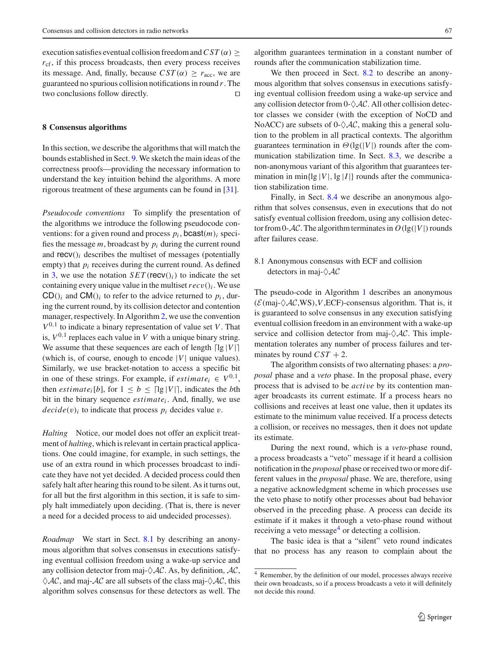execution satisfies eventual collision freedom and  $CST(\alpha)$  >  $r_{\rm cf}$ , if this process broadcasts, then every process receives its message. And, finally, because  $CST(\alpha) > r_{\text{acc}}$ , we are guaranteed no spurious collision notifications in round *r*. The two conclusions follow directly.

## <span id="page-12-0"></span>**8 Consensus algorithms**

In this section, we describe the algorithms that will match the bounds established in Sect. [9.](#page-16-0) We sketch the main ideas of the correctness proofs—providing the necessary information to understand the key intuition behind the algorithms. A more rigorous treatment of these arguments can be found in [\[31\]](#page-28-32).

*Pseudocode conventions* To simplify the presentation of the algorithms we introduce the following pseudocode conventions: for a given round and process  $p_i$ , bcast $(m)_i$  specifies the message  $m$ , broadcast by  $p_i$  during the current round and  $recv()$  describes the multiset of messages (potentially empty) that  $p_i$  receives during the current round. As defined in [3,](#page-6-1) we use the notation  $SET$  (recv()<sub>*i*</sub>) to indicate the set containing every unique value in the multiset  $recv()_i$ . We use  $CD()$ *i* and  $CM()$ *i* to refer to the advice returned to  $p_i$ , during the current round, by its collision detector and contention manager, respectively. In Algorithm [2,](#page-3-1) we use the convention  $V^{0,1}$  to indicate a binary representation of value set *V*. That is,  $V^{0,1}$  replaces each value in *V* with a unique binary string. We assume that these sequences are each of length  $\lceil \lg |V| \rceil$ (which is, of course, enough to encode |*V*| unique values). Similarly, we use bracket-notation to access a specific bit in one of these strings. For example, if *estimate<sub>i</sub>* ∈  $V^{0,1}$ , then *estimate<sub>i</sub>*[*b*], for  $1 \leq b \leq \lfloor \lg |V| \rfloor$ , indicates the *bth* bit in the binary sequence *estimatei* . And, finally, we use  $decide(v)_i$  to indicate that process  $p_i$  decides value v.

*Halting* Notice, our model does not offer an explicit treatment of *halting*, which is relevant in certain practical applications. One could imagine, for example, in such settings, the use of an extra round in which processes broadcast to indicate they have not yet decided. A decided process could then safely halt after hearing this round to be silent. As it turns out, for all but the first algorithm in this section, it is safe to simply halt immediately upon deciding. (That is, there is never a need for a decided process to aid undecided processes).

*Roadmap* We start in Sect. [8.1](#page-12-1) by describing an anonymous algorithm that solves consensus in executions satisfying eventual collision freedom using a wake-up service and any collision detector from maj- $\Diamond$ *AC*. As, by definition, *AC*,  $\Diamond$ *AC*, and maj-*AC* are all subsets of the class maj- $\Diamond$ *AC*, this algorithm solves consensus for these detectors as well. The algorithm guarantees termination in a constant number of rounds after the communication stabilization time.

We then proceed in Sect. [8.2](#page-13-0) to describe an anonymous algorithm that solves consensus in executions satisfying eventual collision freedom using a wake-up service and any collision detector from  $0-\sqrt{AC}$ . All other collision detector classes we consider (with the exception of NoCD and NoACC) are subsets of  $0-\sqrt{AC}$ , making this a general solution to the problem in all practical contexts. The algorithm guarantees termination in  $\Theta(\lg(|V|))$  rounds after the communication stabilization time. In Sect. [8.3,](#page-14-0) we describe a non-anonymous variant of this algorithm that guarantees termination in min $\{ |g| |V|, |g| |I| \}$  rounds after the communication stabilization time.

Finally, in Sect. [8.4](#page-15-0) we describe an anonymous algorithm that solves consensus, even in executions that do not satisfy eventual collision freedom, using any collision detector from 0- $AC$ . The algorithm terminates in  $O(\lg(|V|))$  rounds after failures cease.

## <span id="page-12-1"></span>8.1 Anonymous consensus with ECF and collision detectors in maj-♦*AC*

The pseudo-code in Algorithm [1](#page-3-0) describes an anonymous  $(\mathcal{E}(\text{maj-}\Diamond \mathcal{AC}, \text{WS}), V, \text{ECF})$ -consensus algorithm. That is, it is guaranteed to solve consensus in any execution satisfying eventual collision freedom in an environment with a wake-up service and collision detector from maj- $\Diamond$ *AC*. This implementation tolerates any number of process failures and terminates by round  $CST + 2$ .

The algorithm consists of two alternating phases: a *proposal* phase and a *veto* phase. In the proposal phase, every process that is advised to be *acti*v*e* by its contention manager broadcasts its current estimate. If a process hears no collisions and receives at least one value, then it updates its estimate to the minimum value received. If a process detects a collision, or receives no messages, then it does not update its estimate.

During the next round, which is a *veto*-phase round, a process broadcasts a "veto" message if it heard a collision notification in the *proposal* phase or received two or more different values in the *proposal* phase. We are, therefore, using a negative acknowledgment scheme in which processes use the veto phase to notify other processes about bad behavior observed in the preceding phase. A process can decide its estimate if it makes it through a veto-phase round without receiving a veto message<sup>[4](#page-12-2)</sup> or detecting a collision.

The basic idea is that a "silent" veto round indicates that no process has any reason to complain about the

<span id="page-12-2"></span><sup>4</sup> Remember, by the definition of our model, processes always receive their own broadcasts, so if a process broadcasts a veto it will definitely not decide this round.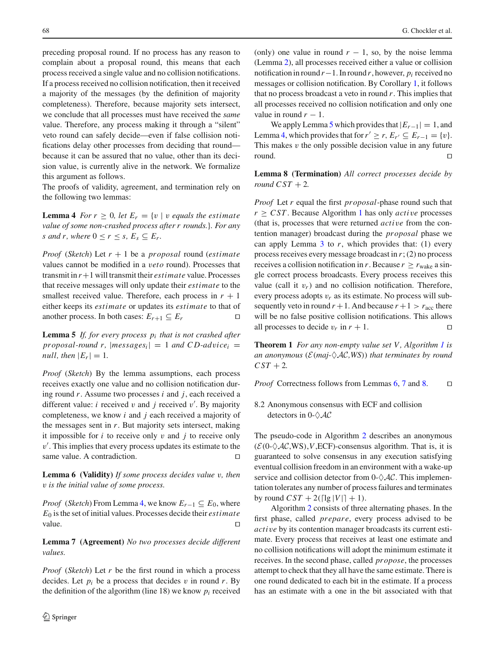preceding proposal round. If no process has any reason to complain about a proposal round, this means that each process received a single value and no collision notifications. If a process received no collision notification, then it received a majority of the messages (by the definition of majority completeness). Therefore, because majority sets intersect, we conclude that all processes must have received the *same* value. Therefore, any process making it through a "silent" veto round can safely decide—even if false collision notifications delay other processes from deciding that round because it can be assured that no value, other than its decision value, is currently alive in the network. We formalize this argument as follows.

<span id="page-13-1"></span>The proofs of validity, agreement, and termination rely on the following two lemmas:

**Lemma 4** *For*  $r \geq 0$ *, let*  $E_r = \{v \mid v \text{ equals the estimate}\}\$ *value of some non-crashed process after r rounds.*}*. For any s* and *r*, where  $0 \le r \le s$ ,  $E_s \subseteq E_r$ .

*Proof* (*Sketch*) Let *r* + 1 be a *proposal* round (*estimate* values cannot be modified in a v*eto* round). Processes that transmit in *r*+1 will transmit their *estimate* value. Processes that receive messages will only update their *estimate* to the smallest received value. Therefore, each process in  $r + 1$ either keeps its *estimate* or updates its *estimate* to that of another process. In both cases:  $E_{r+1} \subseteq E_r$ 

<span id="page-13-2"></span>**Lemma 5** *If, for every process pi that is not crashed after*  $\text{proposal-round } r, \text{ } | \text{message } s_i | = 1 \text{ and } CD \text{-} \text{advice}_i = 1$ *null, then*  $|E_r| = 1$ .

*Proof* (*Sketch*) By the lemma assumptions, each process receives exactly one value and no collision notification during round *r*. Assume two processes *i* and *j*, each received a different value:  $i$  received  $v$  and  $j$  received  $v'$ . By majority completeness, we know *i* and *j* each received a majority of the messages sent in *r*. But majority sets intersect, making it impossible for *i* to receive only v and *j* to receive only  $v'$ . This implies that every process updates its estimate to the same value. A contradiction.

<span id="page-13-3"></span>**Lemma 6 (Validity)** *If some process decides value* v*, then* v *is the initial value of some process.*

*Proof* (*Sketch*) From Lemma [4,](#page-13-1) we know  $E_{r-1} \subseteq E_0$ , where *E*<sup>0</sup> is the set of initial values. Processes decide their *estimate* value.

<span id="page-13-4"></span>**Lemma 7 (Agreement)** *No two processes decide different values.*

*Proof* (*Sketch*) Let *r* be the first round in which a process decides. Let  $p_i$  be a process that decides  $v$  in round  $r$ . By the definition of the algorithm (line 18) we know  $p_i$  received (only) one value in round  $r - 1$ , so, by the noise lemma (Lemma [2\)](#page-10-1), all processes received either a value or collision notification in round*r*−1. In round*r*, however, *pi* received no messages or collision notification. By Corollary [1,](#page-11-2) it follows that no process broadcast a veto in round *r*. This implies that all processes received no collision notification and only one value in round  $r - 1$ .

We apply Lemma [5](#page-13-2) which provides that  $|E_{r-1}| = 1$ , and Lemma [4,](#page-13-1) which provides that for  $r' \ge r$ ,  $E_{r'} \subseteq E_{r-1} = \{v\}$ . This makes  $v$  the only possible decision value in any future round.

<span id="page-13-5"></span>**Lemma 8 (Termination)** *All correct processes decide by round*  $CST + 2$ *.* 

*Proof* Let *r* equal the first *proposal*-phase round such that  $r \geq CST$ . Because Algorithm [1](#page-3-0) has only *active* processes (that is, processes that were returned *acti*v*e* from the contention manager) broadcast during the *proposal* phase we can apply Lemma  $3$  to  $r$ , which provides that: (1) every process receives every message broadcast in *r*; (2) no process receives a collision notification in *r*. Because  $r \ge r_{\text{wake}}$  a single correct process broadcasts. Every process receives this value (call it  $v_r$ ) and no collision notification. Therefore, every process adopts  $v_r$  as its estimate. No process will subsequently veto in round  $r + 1$ . And because  $r + 1 > r_{\text{acc}}$  there will be no false positive collision notifications. This allows all processes to decide  $v_r$  in  $r + 1$ .

**Theorem 1** *For any non-empty value set V , Algorithm [1](#page-3-0) is an anonymous* ( $\mathcal{E}(maj\text{-}\lozenge\mathcal{AC},WS)$ ) *that terminates by round*  $CST + 2.$ 

*Proof* Correctness follows from Lemmas [6,](#page-13-3) [7](#page-13-4) and [8.](#page-13-5) □

<span id="page-13-0"></span>8.2 Anonymous consensus with ECF and collision detectors in  $0-\Diamond AC$ 

The pseudo-code in Algorithm [2](#page-3-1) describes an anonymous  $(\mathcal{E}(0-\lozenge\mathcal{AC},WS), V, ECF)$ -consensus algorithm. That is, it is guaranteed to solve consensus in any execution satisfying eventual collision freedom in an environment with a wake-up service and collision detector from  $0-\sqrt{AC}$ . This implementation tolerates any number of process failures and terminates by round  $CST + 2($ [lg |*V*|] + 1).

Algorithm [2](#page-3-1) consists of three alternating phases. In the first phase, called *prepare*, every process advised to be *acti*v*e* by its contention manager broadcasts its current estimate. Every process that receives at least one estimate and no collision notifications will adopt the minimum estimate it receives. In the second phase, called *propose*, the processes attempt to check that they all have the same estimate. There is one round dedicated to each bit in the estimate. If a process has an estimate with a one in the bit associated with that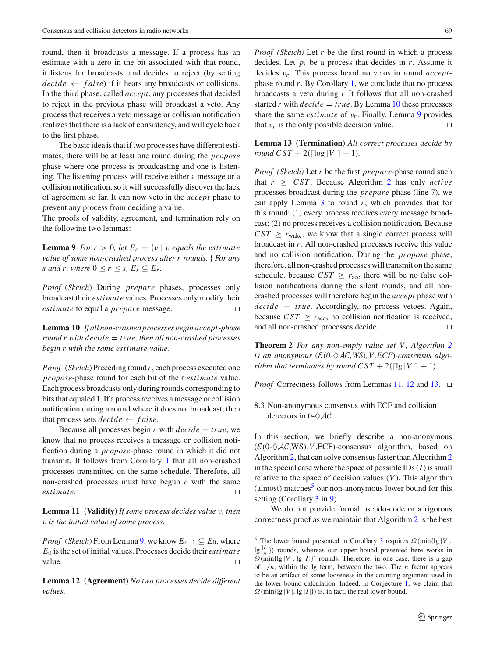round, then it broadcasts a message. If a process has an estimate with a zero in the bit associated with that round, it listens for broadcasts, and decides to reject (by setting  $decide \leftarrow false$  if it hears any broadcasts or collisions. In the third phase, called *accept*, any processes that decided to reject in the previous phase will broadcast a veto. Any process that receives a veto message or collision notification realizes that there is a lack of consistency, and will cycle back to the first phase.

The basic idea is that if two processes have different estimates, there will be at least one round during the *propose* phase where one process is broadcasting and one is listening. The listening process will receive either a message or a collision notification, so it will successfully discover the lack of agreement so far. It can now veto in the *accept* phase to prevent any process from deciding a value.

<span id="page-14-1"></span>The proofs of validity, agreement, and termination rely on the following two lemmas:

**Lemma 9** *For*  $r > 0$ *, let*  $E_r = \{v \mid v \text{ equals the estimate}\}$ *value of some non-crashed process after r rounds.* } *For any s* and *r*, where  $0 \le r \le s$ ,  $E_s \subseteq E_r$ .

*Proof* (*Sketch*) During *prepare* phases, processes only broadcast their *estimate* values. Processes only modify their *estimate* to equal a *prepare* message.

<span id="page-14-2"></span>**Lemma 10** *If all non-crashed processes begin accept-phase round r with decide* = *true, then all non-crashed processes begin r with the same estimate value.*

*Proof* (*Sketch*) Preceding round *r*, each process executed one *propose*-phase round for each bit of their *estimate* value. Each process broadcasts only during rounds corresponding to bits that equaled 1. If a process receives a message or collision notification during a round where it does not broadcast, then that process sets  $decide \leftarrow false$ .

Because all processes begin  $r$  with  $decide = true$ , we know that no process receives a message or collision notification during a *propose*-phase round in which it did not transmit. It follows from Corollary [1](#page-11-2) that all non-crashed processes transmitted on the same schedule. Therefore, all non-crashed processes must have begun *r* with the same *estimate*.

<span id="page-14-3"></span>**Lemma 11 (Validity)** *If some process decides value* v*, then* v *is the initial value of some process.*

*Proof* (*Sketch*) From Lemma [9,](#page-14-1) we know  $E_{r-1} \subseteq E_0$ , where *E*<sup>0</sup> is the set of initial values. Processes decide their *estimate* value.

<span id="page-14-4"></span>**Lemma 12 (Agreement)** *No two processes decide different values.*

*Proof (Sketch)* Let *r* be the first round in which a process decides. Let  $p_i$  be a process that decides in  $r$ . Assume it decides v*r*. This process heard no vetos in round *accept*phase round *r*. By Corollary [1,](#page-11-2) we conclude that no process broadcasts a veto during *r* It follows that all non-crashed started *r* with  $decide = true$ . By Lemma [10](#page-14-2) these processes share the same *estimate* of  $v_r$ . Finally, Lemma [9](#page-14-1) provides that  $v_r$  is the only possible decision value.  $\Box$ 

<span id="page-14-5"></span>**Lemma 13 (Termination)** *All correct processes decide by round*  $CST + 2( \lceil \log |V| \rceil + 1)$ *.* 

*Proof (Sketch)* Let *r* be the first *prepare*-phase round such that  $r \geq CST$ . Because Algorithm [2](#page-3-1) has only *active* processes broadcast during the *prepare* phase (line 7), we can apply Lemma [3](#page-11-3) to round *r*, which provides that for this round: (1) every process receives every message broadcast; (2) no process receives a collision notification. Because  $CST \ge r_{\text{wake}}$ , we know that a single correct process will broadcast in *r*. All non-crashed processes receive this value and no collision notification. During the *propose* phase, therefore, all non-crashed processes will transmit on the same schedule. because  $CST \ge r_{\text{acc}}$  there will be no false collision notifications during the silent rounds, and all noncrashed processes will therefore begin the *accept* phase with *decide* = *true*. Accordingly, no process vetoes. Again, because  $CST \ge r_{\text{acc}}$ , no collision notification is received, and all non-crashed processes decide.

**Theorem 2** *For any non-empty value set V , Algorithm [2](#page-3-1) is an anonymous*  $(\mathcal{E}(0-\lozenge\mathcal{AC},WS), V, ECF)$ -consensus algo*rithm that terminates by round*  $CST + 2(\lceil \lg |V| \rceil + 1)$ *.* 

*Proof* Correctness follows from Lemmas [11,](#page-14-3) [12](#page-14-4) and [13.](#page-14-5)

<span id="page-14-0"></span>8.3 Non-anonymous consensus with ECF and collision detectors in  $0-\Diamond AC$ 

In this section, we briefly describe a non-anonymous  $(\mathcal{E}(0-\lozenge\mathcal{AC},\mathbf{WS}),V,\mathbf{ECF})$ -consensus algorithm, based on Algorithm[2,](#page-3-1) that can solve consensus faster than Algorithm[2](#page-3-1) in the special case where the space of possible IDs (*I*) is small relative to the space of decision values (*V*). This algorithm (almost) matches $\overline{s}$  our non-anonymous lower bound for this setting (Corollary [3](#page-22-1) in [9\)](#page-16-0).

We do not provide formal pseudo-code or a rigorous correctness proof as we maintain that Algorithm [2](#page-3-1) is the best

<span id="page-14-6"></span><sup>5</sup> The lower bound presented in Corollary [3](#page-22-1) requires Ω(min{lg |*V*|,  $\lg \frac{|I|}{n}$  }) rounds, whereas our upper bound presented here works in  $\Theta$ (min{lg |*V*|, lg |*I*|}) rounds. Therefore, in one case, there is a gap of 1/*n*, within the lg term, between the two. The *n* factor appears to be an artifact of some looseness in the counting argument used in the lower bound calculation. Indeed, in Conjecture [1,](#page-23-1) we claim that  $\Omega$ (min{lg |*V*|, lg |*I*|}) is, in fact, the real lower bound.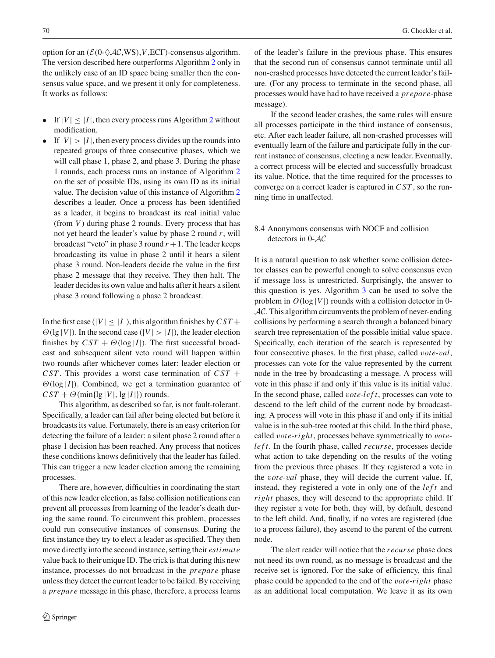option for an  $(\mathcal{E}(0-\lozenge\mathcal{AC},WS),V,ECF)$ -consensus algorithm. The version described here outperforms Algorithm [2](#page-3-1) only in the unlikely case of an ID space being smaller then the consensus value space, and we present it only for completeness. It works as follows:

- If  $|V| \leq |I|$ , then every process runs Algorithm [2](#page-3-1) without modification.
- If  $|V| > |I|$ , then every process divides up the rounds into repeated groups of three consecutive phases, which we will call phase 1, phase 2, and phase 3. During the phase 1 rounds, each process runs an instance of Algorithm [2](#page-3-1) on the set of possible IDs, using its own ID as its initial value. The decision value of this instance of Algorithm [2](#page-3-1) describes a leader. Once a process has been identified as a leader, it begins to broadcast its real initial value (from *V*) during phase 2 rounds. Every process that has not yet heard the leader's value by phase 2 round *r*, will broadcast "veto" in phase 3 round  $r + 1$ . The leader keeps broadcasting its value in phase 2 until it hears a silent phase 3 round. Non-leaders decide the value in the first phase 2 message that they receive. They then halt. The leader decides its own value and halts after it hears a silent phase 3 round following a phase 2 broadcast.

In the first case ( $|V| \leq |I|$ ), this algorithm finishes by  $CST$  +  $\Theta$ (lg |*V*|). In the second case (|*V*| > |*I*|), the leader election finishes by  $CST + \Theta(\log |I|)$ . The first successful broadcast and subsequent silent veto round will happen within two rounds after whichever comes later: leader election or *CST* . This provides a worst case termination of *CST* +  $\Theta(\log |I|)$ . Combined, we get a termination guarantee of  $CST + \Theta(\min\{ \lg |V|, \lg |I| \})$  rounds.

This algorithm, as described so far, is not fault-tolerant. Specifically, a leader can fail after being elected but before it broadcasts its value. Fortunately, there is an easy criterion for detecting the failure of a leader: a silent phase 2 round after a phase 1 decision has been reached. Any process that notices these conditions knows definitively that the leader has failed. This can trigger a new leader election among the remaining processes.

There are, however, difficulties in coordinating the start of this new leader election, as false collision notifications can prevent all processes from learning of the leader's death during the same round. To circumvent this problem, processes could run consecutive instances of consensus. During the first instance they try to elect a leader as specified. They then move directly into the second instance, setting their *estimate* value back to their unique ID. The trick is that during this new instance, processes do not broadcast in the *prepare* phase unless they detect the current leader to be failed. By receiving a *prepare* message in this phase, therefore, a process learns of the leader's failure in the previous phase. This ensures that the second run of consensus cannot terminate until all non-crashed processes have detected the current leader's failure. (For any process to terminate in the second phase, all processes would have had to have received a *prepare*-phase message).

If the second leader crashes, the same rules will ensure all processes participate in the third instance of consensus, etc. After each leader failure, all non-crashed processes will eventually learn of the failure and participate fully in the current instance of consensus, electing a new leader. Eventually, a correct process will be elected and successfully broadcast its value. Notice, that the time required for the processes to converge on a correct leader is captured in *CST* , so the running time in unaffected.

## <span id="page-15-0"></span>8.4 Anonymous consensus with NOCF and collision detectors in 0-*AC*

It is a natural question to ask whether some collision detector classes can be powerful enough to solve consensus even if message loss is unrestricted. Surprisingly, the answer to this question is yes. Algorithm [3](#page-4-0) can be used to solve the problem in  $O(\log |V|)$  rounds with a collision detector in 0-*AC*. This algorithm circumvents the problem of never-ending collisions by performing a search through a balanced binary search tree representation of the possible initial value space. Specifically, each iteration of the search is represented by four consecutive phases. In the first phase, called v*ote*-v*al*, processes can vote for the value represented by the current node in the tree by broadcasting a message. A process will vote in this phase if and only if this value is its initial value. In the second phase, called v*ote*-*lef t*, processes can vote to descend to the left child of the current node by broadcasting. A process will vote in this phase if and only if its initial value is in the sub-tree rooted at this child. In the third phase, called v*ote*-*right*, processes behave symmetrically to v*otelef t*. In the fourth phase, called *recurse*, processes decide what action to take depending on the results of the voting from the previous three phases. If they registered a vote in the v*ote*-v*al* phase, they will decide the current value. If, instead, they registered a vote in only one of the *left* and *right* phases, they will descend to the appropriate child. If they register a vote for both, they will, by default, descend to the left child. And, finally, if no votes are registered (due to a process failure), they ascend to the parent of the current node.

The alert reader will notice that the *recurse* phase does not need its own round, as no message is broadcast and the receive set is ignored. For the sake of efficiency, this final phase could be appended to the end of the v*ote*-*right* phase as an additional local computation. We leave it as its own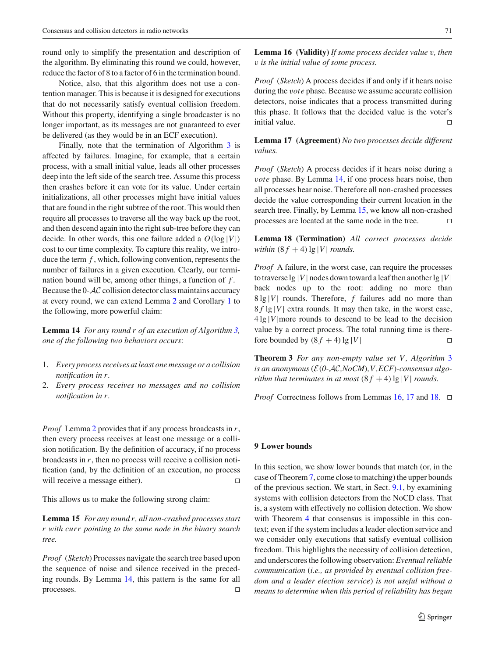round only to simplify the presentation and description of the algorithm. By eliminating this round we could, however, reduce the factor of 8 to a factor of 6 in the termination bound.

Notice, also, that this algorithm does not use a contention manager. This is because it is designed for executions that do not necessarily satisfy eventual collision freedom. Without this property, identifying a single broadcaster is no longer important, as its messages are not guaranteed to ever be delivered (as they would be in an ECF execution).

Finally, note that the termination of Algorithm [3](#page-4-0) is affected by failures. Imagine, for example, that a certain process, with a small initial value, leads all other processes deep into the left side of the search tree. Assume this process then crashes before it can vote for its value. Under certain initializations, all other processes might have initial values that are found in the right subtree of the root. This would then require all processes to traverse all the way back up the root, and then descend again into the right sub-tree before they can decide. In other words, this one failure added a  $O(\log |V|)$ cost to our time complexity. To capture this reality, we introduce the term *f* , which, following convention, represents the number of failures in a given execution. Clearly, our termination bound will be, among other things, a function of *f* . Because the 0-*AC* collision detector class maintains accuracy at every round, we can extend Lemma [2](#page-10-1) and Corollary [1](#page-11-2) to the following, more powerful claim:

**Lemma 14** *For any round r of an execution of Algorithm [3,](#page-4-0) one of the following two behaviors occurs*:

- 1. *Every process receives at least one message or a collision notification in r.*
- <span id="page-16-1"></span>2. *Every process receives no messages and no collision notification in r.*

*Proof* Lemma [2](#page-10-1) provides that if any process broadcasts in *r*, then every process receives at least one message or a collision notification. By the definition of accuracy, if no process broadcasts in *r*, then no process will receive a collision notification (and, by the definition of an execution, no process will receive a message either).

<span id="page-16-2"></span>This allows us to make the following strong claim:

**Lemma 15** *For any round r, all non-crashed processes start r with curr pointing to the same node in the binary search tree.*

<span id="page-16-3"></span>*Proof* (*Sketch*) Processes navigate the search tree based upon the sequence of noise and silence received in the preceding rounds. By Lemma [14,](#page-16-1) this pattern is the same for all processes.

**Lemma 16 (Validity)** *If some process decides value* v*, then* v *is the initial value of some process.*

*Proof* (*Sketch*) A process decides if and only if it hears noise during the v*ote* phase. Because we assume accurate collision detectors, noise indicates that a process transmitted during this phase. It follows that the decided value is the voter's initial value.

<span id="page-16-4"></span>**Lemma 17 (Agreement)** *No two processes decide different values.*

*Proof* (*Sketch*) A process decides if it hears noise during a v*ote* phase. By Lemma [14,](#page-16-1) if one process hears noise, then all processes hear noise. Therefore all non-crashed processes decide the value corresponding their current location in the search tree. Finally, by Lemma [15,](#page-16-2) we know all non-crashed processes are located at the same node in the tree.

<span id="page-16-5"></span>**Lemma 18 (Termination)** *All correct processes decide within*  $(8 f + 4)$ lg |*V*| *rounds.* 

*Proof* A failure, in the worst case, can require the processes to traverse lg |*V*| nodes down toward a leaf then another lg |*V*| back nodes up to the root: adding no more than  $8 \lg |V|$  rounds. Therefore,  $f$  failures add no more than  $8 f \lg |V|$  extra rounds. It may then take, in the worst case,  $4\lg|V|$  more rounds to descend to be lead to the decision value by a correct process. The total running time is therefore bounded by  $(8f + 4)$  lg |*V*|

**Theorem [3](#page-4-0)** *For any non-empty value set V, Algorithm* 3 *is an anonymous* (*E*(*0-AC,NoCM*)*,V ,ECF*)*-consensus algorithm that terminates in at most*  $(8f + 4)$  lg |*V*| *rounds.* 

*Proof* Correctness follows from Lemmas [16,](#page-16-3) [17](#page-16-4) and [18.](#page-16-5)

## <span id="page-16-0"></span>**9 Lower bounds**

In this section, we show lower bounds that match (or, in the case of Theorem[7,](#page-22-0) come close to matching) the upper bounds of the previous section. We start, in Sect. [9.1,](#page-17-1) by examining systems with collision detectors from the NoCD class. That is, a system with effectively no collision detection. We show with Theorem [4](#page-17-0) that consensus is impossible in this context; even if the system includes a leader election service and we consider only executions that satisfy eventual collision freedom. This highlights the necessity of collision detection, and underscores the following observation: *Eventual reliable communication* (*i.e., as provided by eventual collision freedom and a leader election service*) *is not useful without a means to determine when this period of reliability has begun*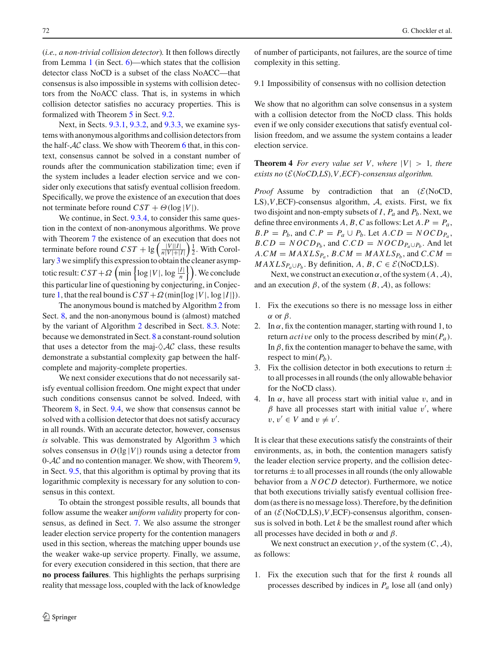(*i.e., a non-trivial collision detector*)*.* It then follows directly from Lemma [1](#page-10-2) (in Sect. [6\)](#page-9-0)—which states that the collision detector class NoCD is a subset of the class NoACC—that consensus is also impossible in systems with collision detectors from the NoACC class. That is, in systems in which collision detector satisfies no accuracy properties. This is formalized with Theorem [5](#page-18-0) in Sect. [9.2.](#page-18-1)

Next, in Sects. [9.3.1,](#page-18-2) [9.3.2,](#page-19-0) and [9.3.3,](#page-21-1) we examine systems with anonymous algorithms and collision detectors from the half-*AC* class. We show with Theorem [6](#page-21-0) that, in this context, consensus cannot be solved in a constant number of rounds after the communication stabilization time; even if the system includes a leader election service and we consider only executions that satisfy eventual collision freedom. Specifically, we prove the existence of an execution that does not terminate before round  $CST + \Theta(\log |V|)$ .

We continue, in Sect. [9.3.4,](#page-22-2) to consider this same question in the context of non-anonymous algorithms. We prove with Theorem [7](#page-22-0) the existence of an execution that does not terminate before round  $CST + \lg \left( \frac{|V||I|}{n|V|+|I|} \right) \frac{1}{2}$ . With Corol-lary [3](#page-22-1) we simplify this expression to obtain the cleaner asymptotic result:  $CST + \Omega$   $\left(\min\left\{\log |V|, \log \frac{|I|}{n}\right\}\right)$ . We conclude this particular line of questioning by conjecturing, in Conjec-ture [1,](#page-23-1) that the real bound is  $CST + \Omega(\min{\log |V|}, \log |I|)$ .

The anonymous bound is matched by Algorithm [2](#page-3-1) from Sect. [8,](#page-12-0) and the non-anonymous bound is (almost) matched by the variant of Algorithm [2](#page-3-1) described in Sect. [8.3.](#page-14-0) Note: because we demonstrated in Sect. [8](#page-12-0) a constant-round solution that uses a detector from the maj- $\Diamond$ *AC* class, these results demonstrate a substantial complexity gap between the halfcomplete and majority-complete properties.

We next consider executions that do not necessarily satisfy eventual collision freedom. One might expect that under such conditions consensus cannot be solved. Indeed, with Theorem [8,](#page-23-0) in Sect. [9.4,](#page-23-2) we show that consensus cannot be solved with a collision detector that does not satisfy accuracy in all rounds. With an accurate detector, however, consensus *is* solvable. This was demonstrated by Algorithm [3](#page-4-0) which solves consensus in  $O(|g|V|)$  rounds using a detector from 0-*AC* and no contention manager. We show, with Theorem [9,](#page-24-0) in Sect. [9.5,](#page-24-1) that this algorithm is optimal by proving that its logarithmic complexity is necessary for any solution to consensus in this context.

To obtain the strongest possible results, all bounds that follow assume the weaker *uniform validity* property for consensus, as defined in Sect. [7.](#page-11-0) We also assume the stronger leader election service property for the contention managers used in this section, whereas the matching upper bounds use the weaker wake-up service property. Finally, we assume, for every execution considered in this section, that there are **no process failures**. This highlights the perhaps surprising reality that message loss, coupled with the lack of knowledge

of number of participants, not failures, are the source of time complexity in this setting.

<span id="page-17-1"></span>9.1 Impossibility of consensus with no collision detection

We show that no algorithm can solve consensus in a system with a collision detector from the NoCD class. This holds even if we only consider executions that satisfy eventual collision freedom, and we assume the system contains a leader election service.

<span id="page-17-0"></span>**Theorem 4** *For every value set V, where*  $|V| > 1$ *, there exists no* (*E*(*NoCD,LS*)*,V ,ECF*)*-consensus algorithm.*

*Proof* Assume by contradiction that an  $(\mathcal{E}(NoCD,$ LS),*V*,ECF)-consensus algorithm, *A*, exists. First, we fix two disjoint and non-empty subsets of  $I$ ,  $P_a$  and  $P_b$ . Next, we define three environments *A*, *B*, *C* as follows: Let  $A$ ,  $P = P_a$ ,  $B.P = P_b$ , and  $C.P = P_a \cup P_b$ . Let  $A.C.D = NOCD_{P_a}$ ,  $B.CD = NOCD<sub>P<sub>b</sub></sub>$ , and  $C.CD = NOCD<sub>P<sub>a</sub>∪P<sub>b</sub></sub>$ . And let  $A.C.M = MAXLS_{P_a}, B.C.M = MAXLS_{P_b}$ , and  $C.C.M =$  $MAXLSp_{a\cup P_b}$ . By definition, *A*, *B*, *C*  $\in \mathcal{E}(\text{NoCD,LS})$ .

Next, we construct an execution  $\alpha$ , of the system  $(A, \mathcal{A})$ , and an execution  $\beta$ , of the system  $(B, \mathcal{A})$ , as follows:

- 1. Fix the executions so there is no message loss in either α or β.
- 2. In  $\alpha$ , fix the contention manager, starting with round 1, to return *active* only to the process described by  $min(P_a)$ . In  $\beta$ , fix the contention manager to behave the same, with respect to min $(P_h)$ .
- 3. Fix the collision detector in both executions to return  $\pm$ to all processes in all rounds (the only allowable behavior for the NoCD class).
- 4. In  $\alpha$ , have all process start with initial value  $v$ , and in  $\beta$  have all processes start with initial value v', where  $v, v' \in V$  and  $v \neq v'$ .

It is clear that these executions satisfy the constraints of their environments, as, in both, the contention managers satisfy the leader election service property, and the collision detector returns  $\pm$  to all processes in all rounds (the only allowable behavior from a *NOCD* detector). Furthermore, we notice that both executions trivially satisfy eventual collision freedom (as there is no message loss). Therefore, by the definition of an  $(\mathcal{E}(\text{NoCD,LS}), V, \text{ECF})$ -consensus algorithm, consensus is solved in both. Let *k* be the smallest round after which all processes have decided in both  $\alpha$  and  $\beta$ .

We next construct an execution  $\gamma$ , of the system  $(C, \mathcal{A})$ , as follows:

1. Fix the execution such that for the first *k* rounds all processes described by indices in *Pa* lose all (and only)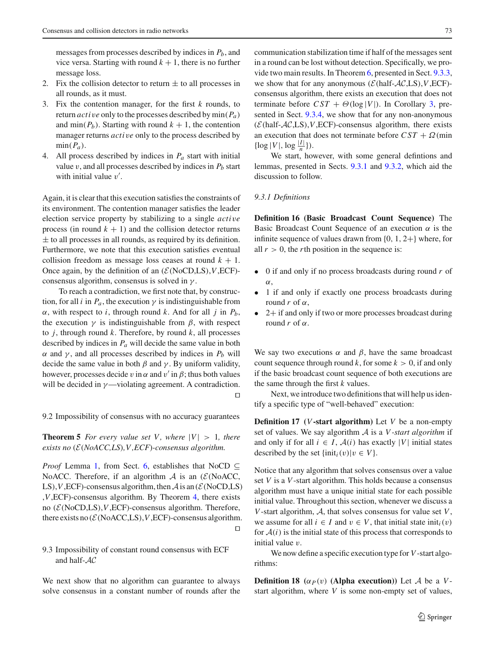messages from processes described by indices in  $P<sub>b</sub>$ , and vice versa. Starting with round  $k + 1$ , there is no further message loss.

- 2. Fix the collision detector to return  $\pm$  to all processes in all rounds, as it must.
- 3. Fix the contention manager, for the first *k* rounds, to return *acti*v*e* only to the processes described by min(*Pa*) and min( $P<sub>b</sub>$ ). Starting with round  $k + 1$ , the contention manager returns *acti*v*e* only to the process described by  $min(P_a)$ .
- 4. All process described by indices in *Pa* start with initial value  $v$ , and all processes described by indices in  $P_b$  start with initial value  $v'$ .

Again, it is clear that this execution satisfies the constraints of its environment. The contention manager satisfies the leader election service property by stabilizing to a single *acti*v*e* process (in round  $k + 1$ ) and the collision detector returns  $\pm$  to all processes in all rounds, as required by its definition. Furthermore, we note that this execution satisfies eventual collision freedom as message loss ceases at round  $k + 1$ . Once again, by the definition of an  $(\mathcal{E}(\text{NoCD,LS}), V, \text{ECF})$ consensus algorithm, consensus is solved in  $\gamma$ .

To reach a contradiction, we first note that, by construction, for all *i* in  $P_a$ , the execution  $\gamma$  is indistinguishable from  $\alpha$ , with respect to *i*, through round *k*. And for all *j* in  $P_b$ , the execution  $\gamma$  is indistinguishable from  $\beta$ , with respect to *j*, through round *k*. Therefore, by round *k*, all processes described by indices in *Pa* will decide the same value in both  $\alpha$  and  $\gamma$ , and all processes described by indices in  $P_b$  will decide the same value in both  $\beta$  and  $\gamma$ . By uniform validity, however, processes decide v in  $\alpha$  and v' in  $\beta$ ; thus both values will be decided in  $\gamma$ —violating agreement. A contradiction.  $\Box$ 

<span id="page-18-1"></span>9.2 Impossibility of consensus with no accuracy guarantees

<span id="page-18-0"></span>**Theorem 5** *For every value set V, where*  $|V| > 1$ *, there exists no* (*E*(*NoACC,LS*)*,V ,ECF*)*-consensus algorithm.*

*Proof* Lemma [1,](#page-10-2) from Sect. [6,](#page-9-0) establishes that NoCD  $\subseteq$ NoACC. Therefore, if an algorithm  $A$  is an ( $E(NoACC,$ LS),  $V$ , ECF)-consensus algorithm, then  $A$  is an ( $E$ (NoCD, LS) ,*V*,ECF)-consensus algorithm. By Theorem [4,](#page-17-0) there exists no  $(\mathcal{E}(\text{NoCD,LS}), V, \text{ECF})$ -consensus algorithm. Therefore, there exists no  $(\mathcal{E}(\text{NoACC},\text{LS}),V,\text{ECF})$ -consensus algorithm.  $\Box$ 

## 9.3 Impossibility of constant round consensus with ECF and half-*AC*

We next show that no algorithm can guarantee to always solve consensus in a constant number of rounds after the

communication stabilization time if half of the messages sent in a round can be lost without detection. Specifically, we provide two main results. In Theorem [6,](#page-21-0) presented in Sect. [9.3.3,](#page-21-1) we show that for any anonymous  $(\mathcal{E}(\text{half-}\mathcal{AC},LS),V,\text{ECF})$ consensus algorithm, there exists an execution that does not terminate before  $CST + \Theta(\log |V|)$ . In Corollary [3,](#page-22-1) presented in Sect. [9.3.4,](#page-22-2) we show that for any non-anonymous  $(E(half-AC, LS), V, ECF)$ -consensus algorithm, there exists an execution that does not terminate before  $CST + \Omega$ (min  $\{\log |V|, \log \frac{|I|}{n}\}.$ 

We start, however, with some general defintions and lemmas, presented in Sects. [9.3.1](#page-18-2) and [9.3.2,](#page-19-0) which aid the discussion to follow.

### <span id="page-18-2"></span>*9.3.1 Definitions*

**Definition 16 (Basic Broadcast Count Sequence)** The Basic Broadcast Count Sequence of an execution  $\alpha$  is the infinite sequence of values drawn from  $\{0, 1, 2+\}$  where, for all  $r > 0$ , the *r*th position in the sequence is:

- 0 if and only if no process broadcasts during round *r* of α,
- 1 if and only if exactly one process broadcasts during round  $r$  of  $\alpha$ ,
- 2+ if and only if two or more processes broadcast during round  $r$  of  $\alpha$ .

We say two executions  $\alpha$  and  $\beta$ , have the same broadcast count sequence through round  $k$ , for some  $k > 0$ , if and only if the basic broadcast count sequence of both executions are the same through the first *k* values.

Next, we introduce two definitions that will help us identify a specific type of "well-behaved" execution:

**Definition 17 (***V***-start algorithm)** Let *V* be a non-empty set of values. We say algorithm *A* is a *V -start algorithm* if and only if for all  $i \in I$ ,  $\mathcal{A}(i)$  has exactly |*V*| initial states described by the set  $\{\text{init}_i(v)|v \in V\}.$ 

Notice that any algorithm that solves consensus over a value set *V* is a *V*-start algorithm. This holds because a consensus algorithm must have a unique initial state for each possible initial value. Throughout this section, whenever we discuss a *V*-start algorithm, *A*, that solves consensus for value set *V*, we assume for all  $i \in I$  and  $v \in V$ , that initial state  $\text{init}_i(v)$ for  $A(i)$  is the initial state of this process that corresponds to initial value v.

We now define a specific execution type for *V* -start algorithms:

**Definition 18** ( $\alpha_P(v)$  (Alpha execution)) Let *A* be a *V*start algorithm, where *V* is some non-empty set of values,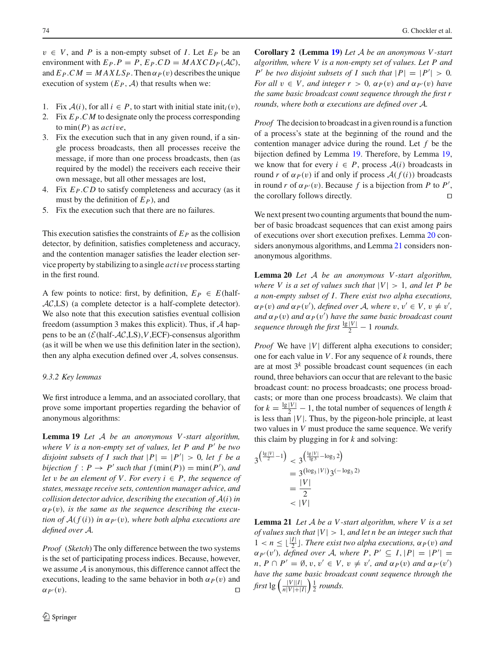$v \in V$ , and *P* is a non-empty subset of *I*. Let  $E_P$  be an environment with  $E_P.P = P$ ,  $E_P.CD = MAXCD_P(\mathcal{AC})$ , and  $E_P$ .  $CM = MAXLSp$ . Then  $\alpha_P(v)$  describes the unique execution of system  $(E_P, \mathcal{A})$  that results when we:

- 1. Fix  $A(i)$ , for all  $i \in P$ , to start with initial state init<sub>i</sub>(v),
- 2. Fix *EP*.*C M* to designate only the process corresponding to min(*P*) as *acti*v*e*,
- 3. Fix the execution such that in any given round, if a single process broadcasts, then all processes receive the message, if more than one process broadcasts, then (as required by the model) the receivers each receive their own message, but all other messages are lost,
- 4. Fix *EP*.*C D* to satisfy completeness and accuracy (as it must by the definition of  $E_P$ ), and
- 5. Fix the execution such that there are no failures.

This execution satisfies the constraints of  $E<sub>P</sub>$  as the collision detector, by definition, satisfies completeness and accuracy, and the contention manager satisfies the leader election service property by stabilizing to a single *acti*v*e* process starting in the first round.

A few points to notice: first, by definition,  $E_P \in E$ (half-*AC*,LS) (a complete detector is a half-complete detector). We also note that this execution satisfies eventual collision freedom (assumption 3 makes this explicit). Thus, if *A* happens to be an  $(\mathcal{E}(\text{half-}\mathcal{AC},\text{LS}),V,\text{ECF})$ -consensus algorithm (as it will be when we use this definition later in the section), then any alpha execution defined over *A*, solves consensus.

#### <span id="page-19-0"></span>*9.3.2 Key lemmas*

We first introduce a lemma, and an associated corollary, that prove some important properties regarding the behavior of anonymous algorithms:

<span id="page-19-1"></span>**Lemma 19** *Let A be an anonymous V -start algorithm, where V is a non-empty set of values, let P and P be two disjoint subsets of I such that*  $|P| = |P'| > 0$ *, let f be a bijection*  $f : P \to P'$  *such that*  $f(\min(P)) = \min(P')$ *, and let v be an element of V. For every*  $i \in P$ *, the sequence of states, message receive sets, contention manager advice, and collision detector advice, describing the execution of A*(*i*) *in*  $\alpha_P(v)$ , is the same as the sequence describing the execu*tion of*  $A(f(i))$  *in*  $\alpha_{P}(v)$ *, where both alpha executions are defined over A.*

<span id="page-19-4"></span>*Proof* (*Sketch*) The only difference between the two systems is the set of participating process indices. Because, however, we assume *A* is anonymous, this difference cannot affect the executions, leading to the same behavior in both  $\alpha_P(v)$  and  $\alpha_{P'}(v).$ 

**Corollary 2 (Lemma [19\)](#page-19-1)** *Let A be an anonymous V -start algorithm, where V is a non-empty set of values. Let P and P*<sup> $\prime$ </sup> *be two disjoint subsets of I such that*  $|P| = |P'| > 0$ *. For all*  $v \in V$ *, and integer*  $r > 0$ *,*  $\alpha_P(v)$  *and*  $\alpha_{P}(v)$  *have the same basic broadcast count sequence through the first r rounds, where both* α *executions are defined over A.*

*Proof* The decision to broadcast in a given round is a function of a process's state at the beginning of the round and the contention manager advice during the round. Let *f* be the bijection defined by Lemma [19.](#page-19-1) Therefore, by Lemma [19,](#page-19-1) we know that for every  $i \in P$ , process  $A(i)$  broadcasts in round *r* of  $\alpha_P(v)$  if and only if process  $A(f(i))$  broadcasts in round *r* of  $\alpha_{P}(v)$ . Because *f* is a bijection from *P* to *P'*, the corollary follows directly.

We next present two counting arguments that bound the number of basic broadcast sequences that can exist among pairs of executions over short execution prefixes. Lemma [20](#page-19-2) considers anonymous algorithms, and Lemma [21](#page-19-3) considers nonanonymous algorithms.

<span id="page-19-2"></span>**Lemma 20** *Let A be an anonymous V -start algorithm, where V is a set of values such that*  $|V| > 1$ *, and let P be a non-empty subset of I . There exist two alpha executions,*  $\alpha_P(v)$  *and*  $\alpha_P(v')$ *, defined over A, where*  $v, v' \in V$ *,*  $v \neq v'$ *, and* α*P*(v) *and* α*P*(v ) *have the same basic broadcast count sequence through the first*  $\frac{|g|V|}{2} - 1$  *rounds.* 

*Proof* We have |*V*| different alpha executions to consider; one for each value in *V*. For any sequence of *k* rounds, there are at most  $3<sup>k</sup>$  possible broadcast count sequences (in each round, three behaviors can occur that are relevant to the basic broadcast count: no process broadcasts; one process broadcasts; or more than one process broadcasts). We claim that for  $k = \frac{\lg |V|}{2} - 1$ , the total number of sequences of length *k* is less than  $|V|$ . Thus, by the pigeon-hole principle, at least two values in *V* must produce the same sequence. We verify this claim by plugging in for *k* and solving:

$$
3^{\left(\frac{\lg |V|}{2} - 1\right)} < 3^{\left(\frac{\lg |V|}{\lg 3} - \log_3 2\right)}
$$
  
= 
$$
3^{\left(\log_3 |V|\right)}3^{\left(-\log_3 2\right)}
$$
  
= 
$$
\frac{|V|}{2}
$$
  
< 
$$
|V|
$$

<span id="page-19-3"></span>**Lemma 21** *Let A be a V -start algorithm, where V is a set of values such that*  $|V| > 1$ *, and let n be an integer such that*  $1 < n \leq \lfloor \frac{|I|}{2} \rfloor$ . There exist two alpha executions,  $\alpha_P(v)$  and  $\alpha_{P}(v')$ , defined over *A*, where *P*,  $P' \subseteq I$ ,  $|P| = |P'| =$  $n, P \cap P' = \emptyset, v, v' \in V, v \neq v'$ , *and*  $\alpha_P(v)$  *and*  $\alpha_{P'}(v')$ *have the same basic broadcast count sequence through the first*  $\lg \left( \frac{|V||I|}{n|V|+|I|} \right) \frac{1}{2}$  *rounds.*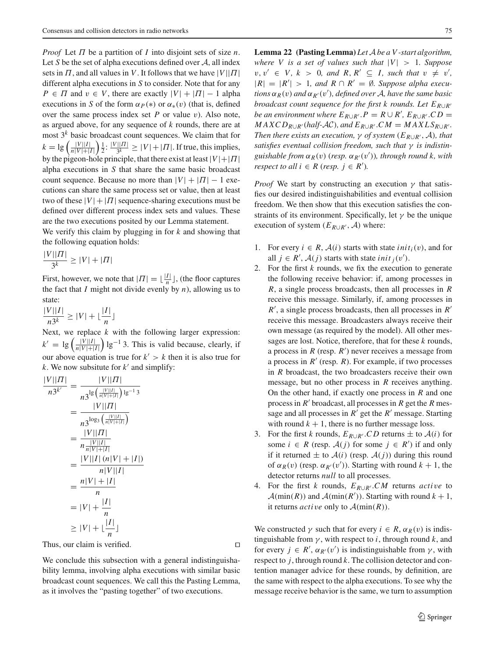*Proof* Let Π be a partition of *I* into disjoint sets of size *n*. Let *S* be the set of alpha executions defined over *A*, all index sets in  $\Pi$ , and all values in *V*. It follows that we have  $|V||\Pi|$ different alpha executions in *S* to consider. Note that for any  $P \in \Pi$  and  $v \in V$ , there are exactly  $|V| + |\Pi| - 1$  alpha executions in *S* of the form  $\alpha_P(*)$  or  $\alpha_*(v)$  (that is, defined over the same process index set  $P$  or value  $v$ ). Also note, as argued above, for any sequence of *k* rounds, there are at most  $3<sup>k</sup>$  basic broadcast count sequences. We claim that for  $k = \lg \left( \frac{|V||I|}{n|V|+|I|} \right) \frac{1}{2} : \frac{|V||H|}{3^k} \ge |V| + |H|$ . If true, this implies, by the pigeon-hole principle, that there exist at least  $|V|+|H|$ alpha executions in *S* that share the same basic broadcast count sequence. Because no more than  $|V| + |H| - 1$  executions can share the same process set or value, then at least two of these  $|V| + |H|$  sequence-sharing executions must be defined over different process index sets and values. These are the two executions posited by our Lemma statement.

We verify this claim by plugging in for *k* and showing that the following equation holds:

$$
\frac{|V||\Pi|}{3^k} \ge |V| + |\Pi|
$$

First, however, we note that  $|H| = \lfloor \frac{|I|}{n} \rfloor$ , (the floor captures the fact that *I* might not divide evenly by *n*), allowing us to state:

$$
\frac{|V||I|}{n3^k} \ge |V| + \lfloor \frac{|I|}{n} \rfloor
$$

Next, we replace *k* with the following larger expression:  $k' = \lg \left( \frac{|V||I|}{n|V|+|I|} \right) \lg^{-1} 3$ . This is valid because, clearly, if our above equation is true for  $k' > k$  then it is also true for *k*. We now subsitute for  $k'$  and simplify:

$$
\frac{|V||\Pi|}{n3^{k'}} = \frac{|V||\Pi|}{n3^{k}} = \frac{|V||\Pi|}{n3^{k}} = \frac{|V||\Pi|}{n3^{k}} = \frac{|V||\Pi|}{n3^{k}} = \frac{|V||\Pi|}{n3^{k}} = \frac{|V||\Pi|}{n\frac{|V||\Pi|}{n|V| + |\Pi|}} = \frac{|V||I||(n|V| + |I|)}{n|V||I|} = \frac{n|V| + |I|}{n} = |V| + \frac{|I|}{n} = |V| + \frac{|I|}{n} = |V| + \frac{|I|}{n}
$$

Thus, our claim is verified.

<span id="page-20-0"></span>We conclude this subsection with a general indistinguishability lemma, involving alpha executions with similar basic broadcast count sequences. We call this the Pasting Lemma, as it involves the "pasting together" of two executions.

**Lemma 22 (Pasting Lemma)** *LetAbe a V -start algorithm, where V* is a set of values such that  $|V| > 1$ . Suppose  $v, v' \in V$ ,  $k > 0$ , and  $R, R' \subseteq I$ , such that  $v \neq v'$ ,  $|R| = |R'| > 1$ , and  $R \cap R' = \emptyset$ . Suppose alpha execu $t$ *tions*  $\alpha_R(v)$  *and*  $\alpha_{R'}(v')$ *, defined over A, have the same basic broadcast count sequence for the first k rounds. Let*  $E_{R\cup R}$ *be an environment where*  $E_{R\cup R}$ .  $P = R \cup R'$ ,  $E_{R\cup R'}$ .  $CD =$  $MAXCD_{R\cup R'}$ (half- $AC$ )*, and*  $E_{R\cup R'}$ .  $CM = MAXLS_{R\cup R'}$ . *Then there exists an execution,*  $\gamma$  *of system* ( $E_{R\cup R}$ ,  $\mathcal{A}$ )*, that satisfies eventual collision freedom, such that* γ *is indistin* $g$ *uishable from*  $\alpha_R(v)$  (*resp.*  $\alpha_{R'}(v')$ *), through round k, with respect to all*  $i \in R$  *(resp.*  $j \in R'$ *).* 

*Proof* We start by constructing an execution  $\gamma$  that satisfies our desired indistinguishabilities and eventual collision freedom. We then show that this execution satisfies the constraints of its environment. Specifically, let  $\gamma$  be the unique execution of system  $(E_{R\cup R'}, A)$  where:

- 1. For every  $i \in R$ ,  $\mathcal{A}(i)$  starts with state *init<sub>i</sub>*(*v*), and for all  $j \in R'$ ,  $\mathcal{A}(j)$  starts with state *init*  $j(v')$ .
- 2. For the first *k* rounds, we fix the execution to generate the following receive behavior: if, among processes in *R*, a single process broadcasts, then all processes in *R* receive this message. Similarly, if, among processes in *R* , a single process broadcasts, then all processes in *R* receive this message. Broadcasters always receive their own message (as required by the model). All other messages are lost. Notice, therefore, that for these *k* rounds, a process in  $R$  (resp.  $R'$ ) never receives a message from a process in  $R'$  (resp.  $R$ ). For example, if two processes in *R* broadcast, the two broadcasters receive their own message, but no other process in *R* receives anything. On the other hand, if exactly one process in *R* and one process in *R* broadcast, all processes in *R* get the *R* message and all processes in  $R'$  get the  $R'$  message. Starting with round  $k + 1$ , there is no further message loss.
- 3. For the first *k* rounds,  $E_{R\cup R'}$ .*CD* returns  $\pm$  to  $A(i)$  for some *i* ∈ *R* (resp. *A*(*j*) for some *j* ∈ *R*<sup>*'*</sup>) if and only if it returned  $\pm$  to  $A(i)$  (resp.  $A(j)$ ) during this round of  $\alpha_R(v)$  (resp.  $\alpha_{R'}(v')$ ). Starting with round  $k + 1$ , the detector returns *null* to all processes.
- 4. For the first *k* rounds, *ER*<sup>∪</sup>*R*.*C M* returns *acti*v*e* to  $A(\min(R))$  and  $A(\min(R'))$ . Starting with round  $k + 1$ , it returns *active* only to  $\mathcal{A}(\min(R))$ .

We constructed  $\gamma$  such that for every  $i \in R$ ,  $\alpha_R(v)$  is indistinguishable from  $\gamma$ , with respect to *i*, through round *k*, and for every  $j \in R'$ ,  $\alpha_{R'}(v')$  is indistinguishable from  $\gamma$ , with respect to *j*, through round *k*. The collision detector and contention manager advice for these rounds, by definition, are the same with respect to the alpha executions. To see why the message receive behavior is the same, we turn to assumption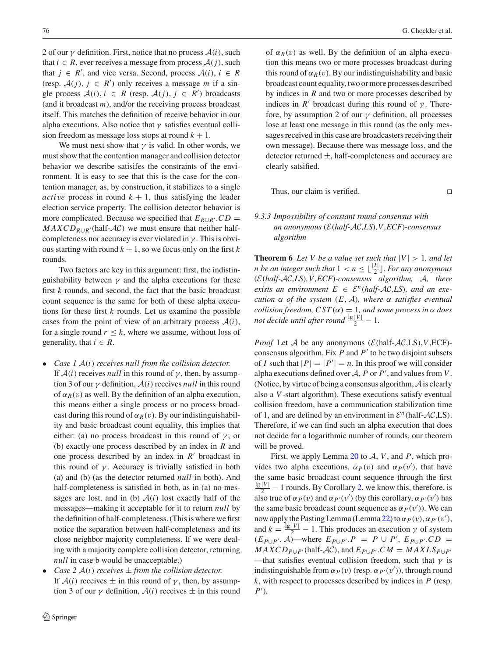2 of our  $\gamma$  definition. First, notice that no process  $A(i)$ , such that  $i \in R$ , ever receives a message from process  $A(j)$ , such that  $j \in R'$ , and vice versa. Second, process  $A(i)$ ,  $i \in R$ (resp.  $A(j)$ ,  $j \in R'$ ) only receives a message *m* if a single process  $A(i)$ ,  $i \in R$  (resp.  $A(j)$ ,  $j \in R'$ ) broadcasts (and it broadcast *m*), and/or the receiving process broadcast itself. This matches the definition of receive behavior in our alpha executions. Also notice that  $\gamma$  satisfies eventual collision freedom as message loss stops at round  $k + 1$ .

We must next show that  $\gamma$  is valid. In other words, we must show that the contention manager and collision detector behavior we describe satisifes the constraints of the environment. It is easy to see that this is the case for the contention manager, as, by construction, it stabilizes to a single *active* process in round  $k + 1$ , thus satisfying the leader election service property. The collision detector behavior is more complicated. Because we specified that  $E_{R\cup R}$ .  $CD =$  $MAXCD_{R\cup R'}$ (half-*AC*) we must ensure that neither halfcompleteness nor accuracy is ever violated in  $\gamma$ . This is obvious starting with round  $k + 1$ , so we focus only on the first  $k$ rounds.

Two factors are key in this argument: first, the indistinguishability between  $\gamma$  and the alpha executions for these first *k* rounds, and second, the fact that the basic broadcast count sequence is the same for both of these alpha executions for these first *k* rounds. Let us examine the possible cases from the point of view of an arbitrary process  $A(i)$ , for a single round  $r \leq k$ , where we assume, without loss of generality, that  $i \in R$ .

- *Case 1 A*(*i*) *receives null from the collision detector.* If  $A(i)$  receives *null* in this round of  $\gamma$ , then, by assumption 3 of our  $\gamma$  definition,  $A(i)$  receives *null* in this round of  $\alpha_R(v)$  as well. By the definition of an alpha execution, this means either a single process or no process broadcast during this round of  $\alpha_R(v)$ . By our indistinguishability and basic broadcast count equality, this implies that either: (a) no process broadcast in this round of  $\gamma$ ; or (b) exactly one process described by an index in *R* and one process described by an index in  $R'$  broadcast in this round of  $\gamma$ . Accuracy is trivially satisfied in both (a) and (b) (as the detector returned *null* in both). And half-completeness is satisfied in both, as in (a) no messages are lost, and in (b)  $A(i)$  lost exactly half of the messages—making it acceptable for it to return *null* by the definition of half-completeness. (This is where we first notice the separation between half-completeness and its close neighbor majority completeness. If we were dealing with a majority complete collision detector, returning *null* in case b would be unacceptable.)
- *Case 2*  $A(i)$  *receives*  $\pm$  *from the collision detector.* If  $A(i)$  receives  $\pm$  in this round of  $\gamma$ , then, by assumption 3 of our  $\gamma$  definition,  $A(i)$  receives  $\pm$  in this round

of  $\alpha_R(v)$  as well. By the definition of an alpha execution this means two or more processes broadcast during this round of  $\alpha_R(v)$ . By our indistinguishability and basic broadcast count equality, two or more processes described by indices in *R* and two or more processes described by indices in *R'* broadcast during this round of  $\gamma$ . Therefore, by assumption 2 of our  $\gamma$  definition, all processes lose at least one message in this round (as the only messages received in this case are broadcasters receiving their own message). Because there was message loss, and the detector returned  $\pm$ , half-completeness and accuracy are clearly satsified.

Thus, our claim is verified.

# <span id="page-21-1"></span>*9.3.3 Impossibility of constant round consensus with an anonymous* (*E*(*half-AC,LS*)*,V ,ECF*)*-consensus algorithm*

<span id="page-21-0"></span>**Theorem 6** *Let V be a value set such that*  $|V| > 1$ *, and let n be an integer such that*  $1 < n \leq \lfloor \frac{|I|}{2} \rfloor$ *. For any anonymous* (*E*(*half-AC,LS*)*,V ,ECF*)*-consensus algorithm, A, there exists an environment*  $E \in \mathcal{E}^n$  (*half-AC,LS*)*, and an execution* α *of the system* (*E*, *A*)*, where* α *satisfies eventual collision freedom,*  $CST(\alpha) = 1$ *, and some process in*  $\alpha$  *does not decide until after round*  $\frac{\lg |V|}{2} - 1$ .

*Proof* Let *A* be any anonymous ( $\mathcal{E}$ (half- $\mathcal{AC}, LS$ ),  $V$ ,  $ECF$ )consensus algorithm. Fix  $P$  and  $P'$  to be two disjoint subsets of *I* such that  $|P| = |P'| = n$ . In this proof we will consider alpha executions defined over  $A$ ,  $P$  or  $P'$ , and values from  $V$ . (Notice, by virtue of being a consensus algorithm,*A*is clearly also a *V*-start algorithm). These executions satisfy eventual collision freedom, have a communication stabilization time of 1, and are defined by an environment in  $\mathcal{E}^n$  (half- $\mathcal{AC}, LS$ ). Therefore, if we can find such an alpha execution that does not decide for a logarithmic number of rounds, our theorem will be proved.

First, we apply Lemma [20](#page-19-2) to *A*, *V*, and *P*, which provides two alpha executions,  $\alpha_P(v)$  and  $\alpha_P(v')$ , that have the same basic broadcast count sequence through the first  $\frac{\lg |V|}{2} - 1$  rounds. By Corollary [2,](#page-19-4) we know this, therefore, is also true of  $\alpha_P(v)$  and  $\alpha_{P'}(v')$  (by this corollary,  $\alpha_{P'}(v')$  has the same basic broadcast count sequence as  $\alpha_P(v')$ ). We can now apply the Pasting Lemma (Lemma [22\)](#page-20-0) to  $\alpha_P(v)$ ,  $\alpha_{P'}(v')$ , and  $k = \frac{\lg |V|}{2} - 1$ . This produces an execution  $\gamma$  of system  $(E_{P \cup P'}, \mathcal{A})$ —where  $E_{P \cup P'}$ .  $P = P \cup P'$ ,  $E_{P \cup P'}$ .  $CD =$  $MAXCD_{P\cup P'}$ (half-*AC*), and  $E_{P\cup P'}$ .  $CM = MAXLSp_{\cup P'}$ —that satisfies eventual collision freedom, such that  $\gamma$  is indistinguishable from  $\alpha_P(v)$  (resp.  $\alpha_{P}(v')$ ), through round *k*, with respect to processes described by indices in *P* (resp. *P* ).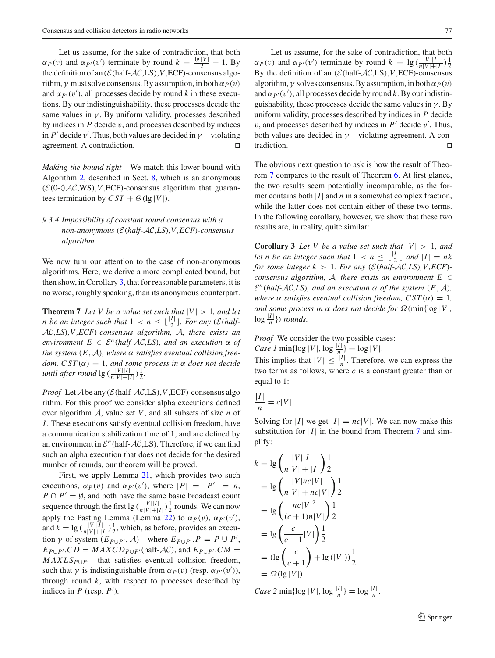Let us assume, for the sake of contradiction, that both  $\alpha_P(v)$  and  $\alpha_{P'}(v')$  terminate by round  $k = \frac{\lg |V|}{2} - 1$ . By the definition of an  $(E(\text{half-}\mathcal{AC}, \text{LS})$ , V, ECF)-consensus algorithm,  $\gamma$  must solve consensus. By assumption, in both  $\alpha_P(v)$ and  $\alpha_{P}(v')$ , all processes decide by round *k* in these executions. By our indistinguishability, these processes decide the same values in  $\gamma$ . By uniform validity, processes described by indices in  $P$  decide  $v$ , and processes described by indices in  $P'$  decide v'. Thus, both values are decided in  $\gamma$ —violating agreement. A contradiction.

*Making the bound tight* We match this lower bound with Algorithm [2,](#page-3-1) described in Sect. [8,](#page-12-0) which is an anonymous  $(\mathcal{E}(0-\lozenge\mathcal{AC},WS),V,ECF)$ -consensus algorithm that guarantees termination by  $CST + \Theta(\lg |V|)$ .

# <span id="page-22-2"></span>*9.3.4 Impossibility of constant round consensus with a non-anonymous* (*E*(*half-AC,LS*)*,V ,ECF*)*-consensus algorithm*

We now turn our attention to the case of non-anonymous algorithms. Here, we derive a more complicated bound, but then show, in Corollary [3,](#page-22-1) that for reasonable parameters, it is no worse, roughly speaking, than its anonymous counterpart.

<span id="page-22-0"></span>**Theorem 7** *Let V be a value set such that*  $|V| > 1$ *, and let n* be an integer such that  $1 < n \leq \lfloor \frac{|I|}{2} \rfloor$ . For any (*E*(*half-AC,LS*)*,V ,ECF*)*-consensus algorithm, A, there exists an environment*  $E \in \mathcal{E}^n$  (*half-AC,LS*)*, and an execution*  $\alpha$  *of the system* (*E*, *A*)*, where* α *satisfies eventual collision freedom,*  $CST(\alpha) = 1$ *, and some process in*  $\alpha$  *does not decide until after round*  $\lg(\frac{|V||I|}{n|V|+|I|})\frac{1}{2}$ .

*Proof* Let  $\mathcal A$  be any ( $\mathcal E$ (half- $\mathcal AC, LS$ ),  $V$ ,  $ECF$ )-consensus algorithm. For this proof we consider alpha executions defined over algorithm *A*, value set *V*, and all subsets of size *n* of *I*. These executions satisfy eventual collision freedom, have a communication stabilization time of 1, and are defined by an environment in  $\mathcal{E}^n$  (half- $\mathcal{AC}, LS$ ). Therefore, if we can find such an alpha execution that does not decide for the desired number of rounds, our theorem will be proved.

First, we apply Lemma [21,](#page-19-3) which provides two such executions,  $\alpha_P(v)$  and  $\alpha_{P'}(v')$ , where  $|P| = |P'| = n$ ,  $P \cap P' = \emptyset$ , and both have the same basic broadcast count sequence through the first  $\lg \left( \frac{|V||I|}{n|V|+|I|} \right) \frac{1}{2}$  rounds. We can now apply the Pasting Lemma (Lemma [22\)](#page-20-0) to  $\alpha_P(v)$ ,  $\alpha_{P'}(v')$ , and  $k = \lg \left( \frac{|V||\overline{I}|}{n|V|+|I|} \right) \frac{1}{2}$ , which, as before, provides an execution  $\gamma$  of system  $(E_{P\cup P'}, A)$ —where  $E_{P\cup P'}$ .  $P = P \cup P'$ ,  $E_{P\cup P'}$ . $CD = MAXCD_{P\cup P'}$ (half-*AC*), and  $E_{P\cup P'}$ . $CM =$  $MAXLS_{P\cup P'}$ —that satisfies eventual collision freedom, such that  $\gamma$  is indistinguishable from  $\alpha_P(v)$  (resp.  $\alpha_{P'}(v')$ ), through round *k*, with respect to processes described by indices in  $P$  (resp.  $P'$ ).

Let us assume, for the sake of contradiction, that both  $\alpha_P(v)$  and  $\alpha_{P'}(v')$  terminate by round  $k = \lg \left( \frac{|V||I|}{n|V|+|I|} \right) \frac{1}{2}$ By the definition of an  $(\mathcal{E}(\text{half-}\mathcal{AC},\text{LS})$ , *V*, ECF)-consensus algorithm,  $\gamma$  solves consensus. By assumption, in both  $\alpha_P(v)$ and  $\alpha_{P}(v')$ , all processes decide by round *k*. By our indistinguishability, these processes decide the same values in  $\gamma$ . By uniform validity, processes described by indices in *P* decide  $v$ , and processes described by indices in  $P'$  decide  $v'$ . Thus, both values are decided in  $\gamma$ —violating agreement. A contradiction.

The obvious next question to ask is how the result of Theorem [7](#page-22-0) compares to the result of Theorem [6.](#page-21-0) At first glance, the two results seem potentially incomparable, as the former contains both |*I*| and *n* in a somewhat complex fraction, while the latter does not contain either of these two terms. In the following corollary, however, we show that these two results are, in reality, quite similar:

<span id="page-22-1"></span>**Corollary 3** Let V be a value set such that  $|V| > 1$ , and *let n be an integer such that*  $1 < n \leq \lfloor \frac{|I|}{2} \rfloor$  *and*  $|I| = nk$ *for some integer*  $k > 1$ *. For any* (*E*(*half-* $AC, LS$ *), V, ECF*)*consensus algorithm, A, there exists an environment*  $E \in$  $\mathcal{E}^n$ (*half-AC,LS*)*, and an execution*  $\alpha$  *of the system* (*E*, *A*)*, where*  $\alpha$  *satisfies eventual collision freedom,*  $CST(\alpha) = 1$ *, and some process in*  $\alpha$  *does not decide for*  $\Omega$ (min{log |*V*|*,*  $\log \frac{|I|}{n}$ }) *rounds.* 

*Proof* We consider the two possible cases: *Case 1* min{log |*V*|, log  $\frac{|I|}{n}$ } = log |*V*|. This implies that  $|V| \leq \frac{|I|}{n}$ . Therefore, we can express the two terms as follows, where *c* is a constant greater than or equal to 1:

$$
\frac{|I|}{n} = c|V|
$$

Solving for |*I*| we get  $|I| = nc|V|$ . We can now make this substitution for  $|I|$  in the bound from Theorem [7](#page-22-0) and simplify:

$$
k = \lg \left(\frac{|V||I|}{n|V| + |I|}\right) \frac{1}{2}
$$
  
\n
$$
= \lg \left(\frac{|V|nc|V|}{n|V| + nc|V|}\right) \frac{1}{2}
$$
  
\n
$$
= \lg \left(\frac{nc|V|^2}{(c+1)n|V|}\right) \frac{1}{2}
$$
  
\n
$$
= \lg \left(\frac{c}{c+1}|V|\right) \frac{1}{2}
$$
  
\n
$$
= (\lg \left(\frac{c}{c+1}\right) + \lg (|V|)) \frac{1}{2}
$$
  
\n
$$
= \Omega(\lg |V|)
$$

*Case 2* min{log |*V*|, log  $\frac{|I|}{n}$ } = log  $\frac{|I|}{n}$ .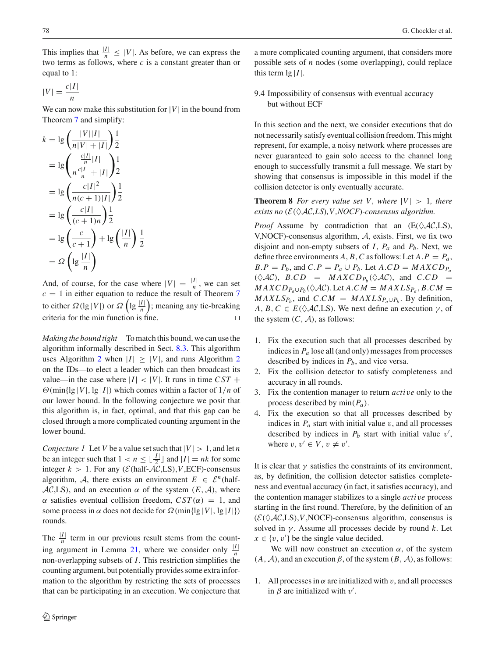78 G. Chockler et al.

This implies that  $\frac{|I|}{n} \leq |V|$ . As before, we can express the two terms as follows, where *c* is a constant greater than or equal to 1:

$$
|V| = \frac{c|I|}{n}
$$

We can now make this substitution for  $|V|$  in the bound from Theorem [7](#page-22-0) and simplify:

$$
k = \lg \left(\frac{|V||I|}{n|V| + |I|}\right) \frac{1}{2}
$$
  
\n
$$
= \lg \left(\frac{\frac{c|I|}{n}}{n\frac{c|I|}{n} + |I|}\right) \frac{1}{2}
$$
  
\n
$$
= \lg \left(\frac{c|I|^2}{n(c+1)|I|}\right) \frac{1}{2}
$$
  
\n
$$
= \lg \left(\frac{c|I|}{(c+1)n}\right) \frac{1}{2}
$$
  
\n
$$
= \lg \left(\frac{c}{c+1}\right) + \lg \left(\frac{|I|}{n}\right) \frac{1}{2}
$$
  
\n
$$
= \Omega \left(\lg \frac{|I|}{n}\right)
$$

And, of course, for the case where  $|V| = \frac{|I|}{n}$ , we can set  $c = 1$  in either equation to reduce the result of Theorem [7](#page-22-0) to either  $\Omega$  (lg |*V*|) or  $\Omega$  (lg  $\frac{|I|}{n}$ ); meaning any tie-breaking criteria for the min function is fine.  $\square$ 

*Making the bound tight* To match this bound, we can use the algorithm informally described in Sect. [8.3.](#page-14-0) This algorithm uses Algorithm [2](#page-3-1) when  $|I| \geq |V|$ , and runs Algorithm 2 on the IDs—to elect a leader which can then broadcast its value—in the case where  $|I| < |V|$ . It runs in time  $CST$  + Θ(min{lg |*V*|, lg |*I*|) which comes within a factor of 1/*n* of our lower bound. In the following conjecture we posit that this algorithm is, in fact, optimal, and that this gap can be closed through a more complicated counting argument in the lower bound.

<span id="page-23-1"></span>*Conjecture 1* Let *V* be a value set such that  $|V| > 1$ , and let *n* be an integer such that  $1 < n \leq \lfloor \frac{|I|}{2} \rfloor$  and  $|I| = nk$  for some integer  $k > 1$ . For any ( $\mathcal{E}$ (half- $\mathcal{AC}, LS$ ),  $V$ , ECF)-consensus algorithm, *A*, there exists an environment  $E \in \mathcal{E}^n$  (half-*AC*,LS), and an execution  $\alpha$  of the system  $(E, \mathcal{A})$ , where  $\alpha$  satisfies eventual collision freedom,  $CST(\alpha) = 1$ , and some process in  $\alpha$  does not decide for  $\Omega$  (min{lg |*V*|, lg |*I*|}) rounds.

The  $\frac{|I|}{n}$  term in our previous result stems from the count-ing argument in Lemma [21,](#page-19-3) where we consider only  $\frac{|I|}{n}$ non-overlapping subsets of *I*. This restriction simplifies the counting argument, but potentially provides some extra information to the algorithm by restricting the sets of processes that can be participating in an execution. We conjecture that

a more complicated counting argument, that considers more possible sets of *n* nodes (some overlapping), could replace this term  $\lg |I|$ .

<span id="page-23-2"></span>9.4 Impossibility of consensus with eventual accuracy but without ECF

In this section and the next, we consider executions that do not necessarily satisfy eventual collision freedom. This might represent, for example, a noisy network where processes are never guaranteed to gain solo access to the channel long enough to successfully transmit a full message. We start by showing that consensus is impossible in this model if the collision detector is only eventually accurate.

<span id="page-23-0"></span>**Theorem 8** *For every value set V, where*  $|V| > 1$ *, there exists no*  $(E(\Diamond AC, LS), V, NOCF)$ *-consensus algorithm.* 

*Proof* Assume by contradiction that an  $(E(\Diamond AC, LS))$ , V,NOCF)-consensus algorithm, *A*, exists. First, we fix two disjoint and non-empty subsets of  $I$ ,  $P_a$  and  $P_b$ . Next, we define three environments *A*, *B*, *C* as follows: Let  $A$ .  $P = P_a$ ,  $B.P = P_b$ , and  $C.P = P_a \cup P_b$ . Let  $A.CD = MAXCD_{P_a}$  $(\Diamond AC)$ ,  $B.CD = MAXCD_{P_b}(\Diamond AC)$ , and  $C.CD =$  $MAXCD_{P_a \cup P_b}(\Diamond AC)$ . Let  $A.CM = MAXLS_{P_a}, B.CM =$  $MAXLS_{P_b}$ , and  $C.CM = MAXLS_{P_a \cup P_b}$ . By definition, *A*, *B*, *C*  $\in E(\Diamond AC, LS)$ . We next define an execution  $\gamma$ , of the system  $(C, \mathcal{A})$ , as follows:

- 1. Fix the execution such that all processes described by indices in *Pa* lose all (and only) messages from processes described by indices in  $P_b$ , and vice versa.
- 2. Fix the collision detector to satisfy completeness and accuracy in all rounds.
- 3. Fix the contention manager to return *acti*v*e* only to the process described by min(*Pa*).
- 4. Fix the execution so that all processes described by indices in  $P_a$  start with initial value  $v$ , and all processes described by indices in  $P_b$  start with initial value  $v'$ , where  $v, v' \in V, v \neq v'$ .

It is clear that  $\gamma$  satisfies the constraints of its environment, as, by definition, the collision detector satisfies completeness and eventual accuracy (in fact, it satisfies accuracy), and the contention manager stabilizes to a single *acti*v*e* process starting in the first round. Therefore, by the definition of an  $(E(\Diamond AC, LS), V, NOCF)$ -consensus algorithm, consensus is solved in  $\gamma$ . Assume all processes decide by round *k*. Let  $x \in \{v, v'\}$  be the single value decided.

We will now construct an execution  $\alpha$ , of the system  $(A, \mathcal{A})$ , and an execution  $\beta$ , of the system  $(B, \mathcal{A})$ , as follows:

1. All processes in  $\alpha$  are initialized with v, and all processes in  $\beta$  are initialized with v'.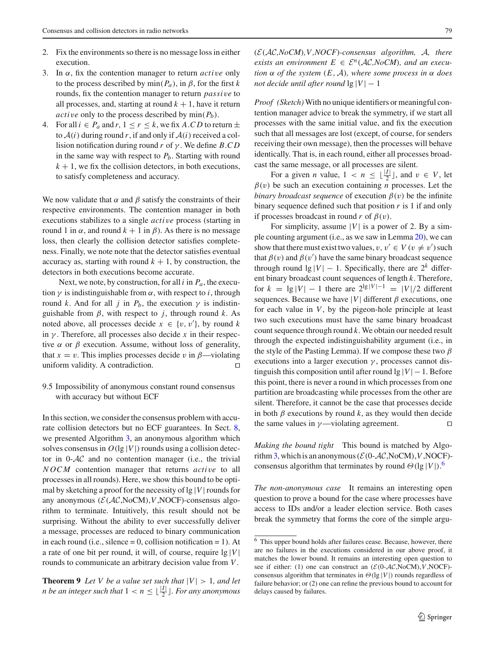- 2. Fix the environments so there is no message loss in either execution.
- 3. In  $\alpha$ , fix the contention manager to return *active* only to the process described by  $\min(P_a)$ , in  $\beta$ , for the first *k* rounds, fix the contention manager to return *passi*v*e* to all processes, and, starting at round  $k + 1$ , have it return *active* only to the process described by  $min(P_b)$ .
- 4. For all  $i \in P_a$  and  $r, 1 \le r \le k$ , we fix  $A \cdot CD$  to return  $\pm$ to  $A(i)$  during round r, if and only if  $A(i)$  received a collision notification during round *r* of γ . We define *B*.*C D* in the same way with respect to  $P<sub>b</sub>$ . Starting with round  $k + 1$ , we fix the collision detectors, in both executions, to satisfy completeness and accuracy.

We now validate that  $\alpha$  and  $\beta$  satisfy the constraints of their respective environments. The contention manager in both executions stabilizes to a single *acti*v*e* process (starting in round 1 in α, and round  $k + 1$  in β). As there is no message loss, then clearly the collision detector satisfies completeness. Finally, we note note that the detector satisfies eventual accuracy as, starting with round  $k + 1$ , by construction, the detectors in both executions become accurate.

Next, we note, by construction, for all *i* in *Pa*, the execution  $\gamma$  is indistinguishable from  $\alpha$ , with respect to *i*, through round *k*. And for all *j* in  $P_b$ , the execution  $\gamma$  is indistinguishable from β, with respect to *j*, through round *k*. As noted above, all processes decide  $x \in \{v, v'\}$ , by round *k* in  $\gamma$ . Therefore, all processes also decide x in their respective  $\alpha$  or  $\beta$  execution. Assume, without loss of generality, that  $x = v$ . This implies processes decide v in  $\beta$ —violating uniform validity. A contradiction.

# <span id="page-24-1"></span>9.5 Impossibility of anonymous constant round consensus with accuracy but without ECF

In this section, we consider the consensus problem with accurate collision detectors but no ECF guarantees. In Sect. [8,](#page-12-0) we presented Algorithm [3,](#page-4-0) an anonymous algorithm which solves consensus in  $O(\lg |V|)$  rounds using a collision detector in 0-*AC* and no contention manager (i.e., the trivial *NOCM* contention manager that returns *acti*v*e* to all processes in all rounds). Here, we show this bound to be optimal by sketching a proof for the necessity of lg |*V*| rounds for any anonymous (*E*(*AC*,NoCM),*V*,NOCF)-consensus algorithm to terminate. Intuitively, this result should not be surprising. Without the ability to ever successfully deliver a message, processes are reduced to binary communication in each round (i.e., silence  $= 0$ , collision notification  $= 1$ ). At a rate of one bit per round, it will, of course, require lg |*V*| rounds to communicate an arbitrary decision value from *V*.

<span id="page-24-0"></span>**Theorem 9** *Let V be a value set such that*  $|V| > 1$ *, and let n be an integer such that*  $1 < n \leq \lfloor \frac{|I|}{2} \rfloor$ *. For any anonymous* 

(*E*(*AC,NoCM*)*,V ,NOCF*)*-consensus algorithm, A, there exists an environment*  $E \in \mathcal{E}^n(\mathcal{AC}, NoCM)$ *, and an execution*  $\alpha$  *of the system*  $(E, \mathcal{A})$ *, where some process in*  $\alpha$  *does not decide until after round*  $\lg |V| - 1$ 

*Proof (Sketch)* With no unique identifiers or meaningful contention manager advice to break the symmetry, if we start all processes with the same initial value, and fix the execution such that all messages are lost (except, of course, for senders receiving their own message), then the processes will behave identically. That is, in each round, either all processes broadcast the same message, or all processes are silent.

For a given *n* value,  $1 \le n \le \lfloor \frac{|I|}{2} \rfloor$ , and  $v \in V$ , let  $\beta(v)$  be such an execution containing *n* processes. Let the *binary broadcast sequence* of execution  $\beta(v)$  be the infinite binary sequence defined such that position *r* is 1 if and only if processes broadcast in round *r* of  $\beta(v)$ .

For simplicity, assume  $|V|$  is a power of 2. By a simple counting argument (i.e., as we saw in Lemma [20\)](#page-19-2), we can show that there must exist two values,  $v, v' \in V$  ( $v \neq v'$ ) such that  $\beta(v)$  and  $\beta(v')$  have the same binary broadcast sequence through round  $\lg |V| - 1$ . Specifically, there are  $2^k$  different binary broadcast count sequences of length *k*. Therefore, for  $k = \lg |V| - 1$  there are  $2^{\lg |V| - 1} = |V|/2$  different sequences. Because we have  $|V|$  different  $\beta$  executions, one for each value in *V*, by the pigeon-hole principle at least two such executions must have the same binary broadcast count sequence through round *k*. We obtain our needed result through the expected indistinguishability argument (i.e., in the style of the Pasting Lemma). If we compose these two  $\beta$ executions into a larger execution  $\gamma$ , processes cannot distinguish this composition until after round  $\lg |V| - 1$ . Before this point, there is never a round in which processes from one partition are broadcasting while processes from the other are silent. Therefore, it cannot be the case that processes decide in both  $\beta$  executions by round  $k$ , as they would then decide the same values in  $\gamma$ —violating agreement.

*Making the bound tight* This bound is matched by Algo-rithm [3,](#page-4-0) which is an anonymous ( $\mathcal{E}(0-\mathcal{AC},NoCM)$ , V, NOCF)consensus algorithm that terminates by round  $\Theta(\lg |V|)$ .

*The non-anonymous case* It remains an interesting open question to prove a bound for the case where processes have access to IDs and/or a leader election service. Both cases break the symmetry that forms the core of the simple argu-

<span id="page-24-2"></span> $6$  This upper bound holds after failures cease. Because, however, there are no failures in the executions considered in our above proof, it matches the lower bound. It remains an interesting open question to see if either: (1) one can construct an (*E*(0-*AC*,NoCM),*V* ,NOCF) consensus algorithm that terminates in  $\Theta(\lg |V|)$  rounds regardless of failure behavior; or (2) one can refine the previous bound to account for delays caused by failures.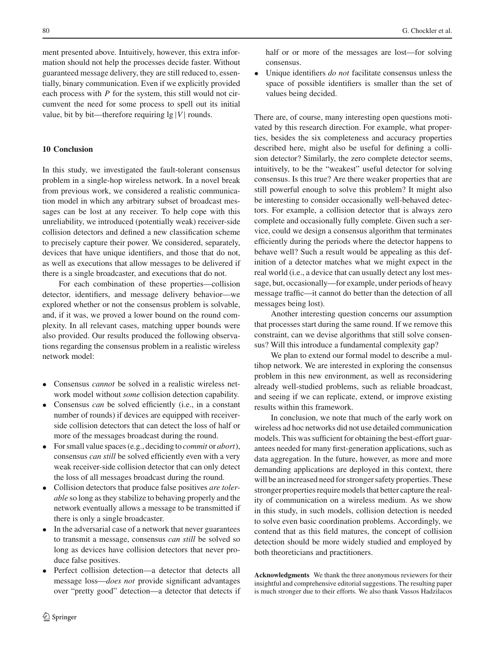ment presented above. Intuitively, however, this extra information should not help the processes decide faster. Without guaranteed message delivery, they are still reduced to, essentially, binary communication. Even if we explicitly provided each process with *P* for the system, this still would not circumvent the need for some process to spell out its initial value, bit by bit—therefore requiring  $\lg |V|$  rounds.

# **10 Conclusion**

In this study, we investigated the fault-tolerant consensus problem in a single-hop wireless network. In a novel break from previous work, we considered a realistic communication model in which any arbitrary subset of broadcast messages can be lost at any receiver. To help cope with this unreliability, we introduced (potentially weak) receiver-side collision detectors and defined a new classification scheme to precisely capture their power. We considered, separately, devices that have unique identifiers, and those that do not, as well as executions that allow messages to be delivered if there is a single broadcaster, and executions that do not.

For each combination of these properties—collision detector, identifiers, and message delivery behavior—we explored whether or not the consensus problem is solvable, and, if it was, we proved a lower bound on the round complexity. In all relevant cases, matching upper bounds were also provided. Our results produced the following observations regarding the consensus problem in a realistic wireless network model:

- Consensus *cannot* be solved in a realistic wireless network model without *some* collision detection capability.
- Consensus *can* be solved efficiently (i.e., in a constant number of rounds) if devices are equipped with receiverside collision detectors that can detect the loss of half or more of the messages broadcast during the round.
- For small value spaces (e.g., deciding to *commit* or *abort*), consensus *can still* be solved efficiently even with a very weak receiver-side collision detector that can only detect the loss of all messages broadcast during the round.
- Collision detectors that produce false positives *are tolerable* so long as they stabilize to behaving properly and the network eventually allows a message to be transmitted if there is only a single broadcaster.
- In the adversarial case of a network that never guarantees to transmit a message, consensus *can still* be solved so long as devices have collision detectors that never produce false positives.
- Perfect collision detection—a detector that detects all message loss—*does not* provide significant advantages over "pretty good" detection—a detector that detects if

half or or more of the messages are lost—for solving consensus.

• Unique identifiers *do not* facilitate consensus unless the space of possible identifiers is smaller than the set of values being decided.

There are, of course, many interesting open questions motivated by this research direction. For example, what properties, besides the six completeness and accuracy properties described here, might also be useful for defining a collision detector? Similarly, the zero complete detector seems, intuitively, to be the "weakest" useful detector for solving consensus. Is this true? Are there weaker properties that are still powerful enough to solve this problem? It might also be interesting to consider occasionally well-behaved detectors. For example, a collision detector that is always zero complete and occasionally fully complete. Given such a service, could we design a consensus algorithm that terminates efficiently during the periods where the detector happens to behave well? Such a result would be appealing as this definition of a detector matches what we might expect in the real world (i.e., a device that can usually detect any lost message, but, occasionally—for example, under periods of heavy message traffic—it cannot do better than the detection of all messages being lost).

Another interesting question concerns our assumption that processes start during the same round. If we remove this constraint, can we devise algorithms that still solve consensus? Will this introduce a fundamental complexity gap?

We plan to extend our formal model to describe a multihop network. We are interested in exploring the consensus problem in this new environment, as well as reconsidering already well-studied problems, such as reliable broadcast, and seeing if we can replicate, extend, or improve existing results within this framework.

In conclusion, we note that much of the early work on wireless ad hoc networks did not use detailed communication models. This was sufficient for obtaining the best-effort guarantees needed for many first-generation applications, such as data aggregation. In the future, however, as more and more demanding applications are deployed in this context, there will be an increased need for stronger safety properties. These stronger properties require models that better capture the reality of communication on a wireless medium. As we show in this study, in such models, collision detection is needed to solve even basic coordination problems. Accordingly, we contend that as this field matures, the concept of collision detection should be more widely studied and employed by both theoreticians and practitioners.

**Acknowledgments** We thank the three anonymous reviewers for their insightful and comprehensive editorial suggestions. The resulting paper is much stronger due to their efforts. We also thank Vassos Hadzilacos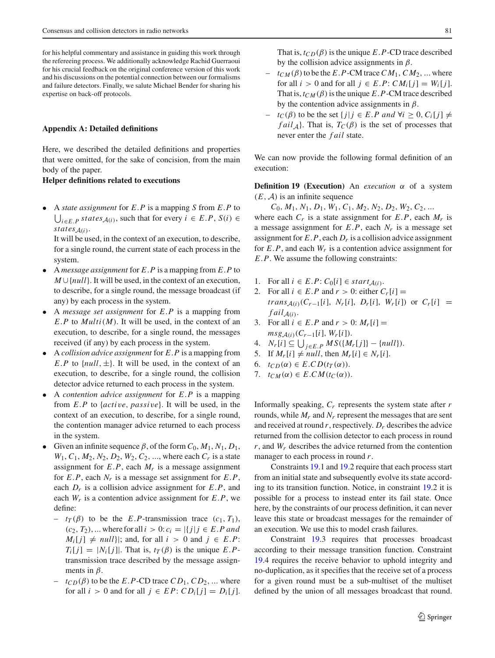for his helpful commentary and assistance in guiding this work through the refereeing process. We additionally acknowledge Rachid Guerraoui for his crucial feedback on the original conference version of this work and his discussions on the potential connection between our formalisms and failure detectors. Finally, we salute Michael Bender for sharing his expertise on back-off protocols.

### **Appendix A: Detailed definitions**

Here, we described the detailed definitions and properties that were omitted, for the sake of concision, from the main body of the paper.

## **Helper definitions related to executions**

• A *state assignment* for *E*.*P* is a mapping *S* from *E*.*P* to  $\bigcup_{i \in E, P} \text{states}_{\mathcal{A}(i)}$ , such that for every *i* ∈ *E*.*P*, *S*(*i*) ∈  $states_{A(i)}$ .

It will be used, in the context of an execution, to describe, for a single round, the current state of each process in the system.

- A *message assignment* for *E*.*P* is a mapping from *E*.*P* to *M* ∪ {*null*}. It will be used, in the context of an execution, to describe, for a single round, the message broadcast (if any) by each process in the system.
- A *message set assignment* for *E*.*P* is a mapping from  $E.P$  to  $Multi(M)$ . It will be used, in the context of an execution, to describe, for a single round, the messages received (if any) by each process in the system.
- A *collision advice assignment* for *E*.*P* is a mapping from *E.P* to  $\{null, \pm\}$ . It will be used, in the context of an execution, to describe, for a single round, the collision detector advice returned to each process in the system.
- A *contention advice assignment* for *E*.*P* is a mapping from *E*.*P* to {*acti*v*e*, *passi*v*e*}. It will be used, in the context of an execution, to describe, for a single round, the contention manager advice returned to each process in the system.
- Given an infinite sequence  $\beta$ , of the form  $C_0$ ,  $M_1$ ,  $N_1$ ,  $D_1$ ,  $W_1, C_1, M_2, N_2, D_2, W_2, C_2, \ldots$ , where each  $C_r$  is a state assignment for  $E.P$ , each  $M_r$  is a message assignment for *E*.*P*, each *Nr* is a message set assignment for *E*.*P*, each *Dr* is a collision advice assignment for *E*.*P*, and each  $W_r$  is a contention advice assignment for  $E.P$ , we define:
	- *tT* (β) to be the *E*.*P*-transmission trace (*c*1, *T*1),  $(c_2, T_2)$ , ... where for all *i* > 0:  $c_i = |{j | j ∈ E.P}$  *and*  $M_i[j] \neq null$ ; and, for all  $i > 0$  and  $j \in E.P$ :  $T_i$ [*j*] = | $N_i$ [*j*]|. That is,  $t_T(\beta)$  is the unique *E*.*P*transmission trace described by the message assignments in  $\beta$ .
	- $-$  *t*<sub>CD</sub>( $\beta$ ) to be the *E*. *P*-CD trace *CD*<sub>1</sub>, *CD*<sub>2</sub>, ... where for all  $i > 0$  and for all  $j \in EP$ :  $CD_i[j] = D_i[j]$ .

That is,  $t_{CD}(\beta)$  is the unique *E*. *P*-CD trace described by the collision advice assignments in  $\beta$ .

- $-$  *t<sub>CM</sub>*( $\beta$ ) to be the *E*. *P*-CM trace  $CM_1$ ,  $CM_2$ , ... where for all  $i > 0$  and for all  $j \in E.P$ :  $CM_i[j] = W_i[j]$ . That is,  $t_{CM}(\beta)$  is the unique *E*. *P*-CM trace described by the contention advice assignments in  $\beta$ .
- $-$  *t*<sub>C</sub>(β) to be the set {*j*|*j* ∈ *E*.*P* and ∀*i* ≥ 0, C<sub>*i*</sub>[*j*]  $\neq$ *f ail*<sub>*A*</sub>}. That is,  $T_C(\beta)$  is the set of processes that never enter the *f ail* state.

We can now provide the following formal definition of an execution:

**Definition 19 (Execution)** An *execution* α of a system  $(E, \mathcal{A})$  is an infinite sequence

*C*0, *M*1, *N*1, *D*1, *W*1,*C*1, *M*2, *N*2, *D*2, *W*2,*C*2, ... where each  $C_r$  is a state assignment for  $E.P$ , each  $M_r$  is a message assignment for  $E.P$ , each  $N_r$  is a message set assignment for  $E.P$ , each  $D<sub>r</sub>$  is a collision advice assignment for  $E.P$ , and each  $W_r$  is a contention advice assignment for *E*.*P*. We assume the following constraints:

- 1. For all  $i \in E.P$ :  $C_0[i] \in start_{\mathcal{A}(i)}$ .
- 2. For all  $i \in E$ . *P* and  $r > 0$ : either  $C_r[i] =$ *trans*<sub>*A*(*i*</sub>)( $C_{r-1}[i]$ ,  $N_r[i]$ ,  $D_r[i]$ ,  $W_r[i]$ ) or  $C_r[i]$  =  $fail_{\mathcal{A}(i)}$ .
- 3. For all  $i \in E.P$  and  $r > 0$ :  $M_r[i] =$ *msg*<sub>*A*(*i*</sub>)( $C_{r-1}[i]$ ,  $W_r[i]$ ).
- 4.  $N_r[i] ⊆ ∪_{j∈E.P} MS({M_r[j]} {null}).$
- 5. If  $M_r[i] \neq null$ , then  $M_r[i] \in N_r[i]$ .
- <span id="page-26-0"></span>6.  $t_{CD}(\alpha) \in E \cdot CD(t_T(\alpha)).$
- 7.  $t_{CM}(\alpha) \in E.CM(t_C(\alpha)).$

Informally speaking,  $C_r$  represents the system state after  $r$ rounds, while  $M_r$  and  $N_r$  represent the messages that are sent and received at round  $r$ , respectively.  $D_r$  describes the advice returned from the collision detector to each process in round *r*, and *Wr* describes the advice returned from the contention manager to each process in round *r*.

Constraints [19.](#page-26-0)1 and [19.](#page-26-0)2 require that each process start from an initial state and subsequently evolve its state according to its transition function. Notice, in constraint [19.](#page-26-0)2 it is possible for a process to instead enter its fail state. Once here, by the constraints of our process definition, it can never leave this state or broadcast messages for the remainder of an execution. We use this to model crash failures.

Constraint [19.](#page-26-0)3 requires that processes broadcast according to their message transition function. Constraint [19.](#page-26-0)4 requires the receive behavior to uphold integrity and no-duplication, as it specifies that the receive set of a process for a given round must be a sub-multiset of the multiset defined by the union of all messages broadcast that round.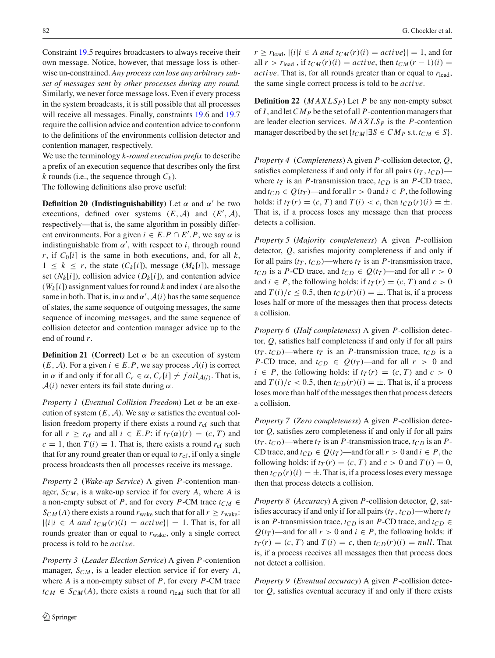Constraint [19.](#page-26-0)5 requires broadcasters to always receive their own message. Notice, however, that message loss is otherwise un-constrained. *Any process can lose any arbitrary subset of messages sent by other processes during any round.* Similarly, we never force message loss. Even if every process in the system broadcasts, it is still possible that all processes will receive all messages. Finally, constraints [19.](#page-26-0)6 and 19.7 require the collision advice and contention advice to conform to the definitions of the environments collision detector and contention manager, respectively.

We use the terminology *k-round execution prefix* to describe a prefix of an execution sequence that describes only the first *k* rounds (i.e., the sequence through  $C_k$ ).

<span id="page-27-0"></span>The following definitions also prove useful:

**Definition 20 (Indistinguishability)** Let  $\alpha$  and  $\alpha'$  be two executions, defined over systems  $(E, \mathcal{A})$  and  $(E', \mathcal{A})$ , respectively—that is, the same algorithm in possibly different environments. For a given  $i \in E.P \cap E'.P$ , we say  $\alpha$  is indistinguishable from  $\alpha'$ , with respect to *i*, through round  $r$ , if  $C_0[i]$  is the same in both executions, and, for all  $k$ ,  $1 \leq k \leq r$ , the state  $(C_k[i])$ , message  $(M_k[i])$ , message set  $(N_k[i])$ , collision advice  $(D_k[i])$ , and contention advice  $(W_k[i])$  assignment values for round k and index *i* are also the same in both. That is, in  $\alpha$  and  $\alpha'$ ,  $\mathcal{A}(i)$  has the same sequence of states, the same sequence of outgoing messages, the same sequence of incoming messages, and the same sequence of collision detector and contention manager advice up to the end of round *r*.

<span id="page-27-1"></span>**Definition 21 (Correct)** Let  $\alpha$  be an execution of system  $(E, \mathcal{A})$ . For a given  $i \in E.P$ , we say process  $\mathcal{A}(i)$  is correct in  $\alpha$  if and only if for all  $C_r \in \alpha$ ,  $C_r[i] \neq \text{fail}_{\mathcal{A}(i)}$ . That is,  $A(i)$  never enters its fail state during  $\alpha$ .

<span id="page-27-2"></span>*Property 1* (*Eventual Collision Freedom*) Let α be an execution of system  $(E, \mathcal{A})$ . We say  $\alpha$  satisfies the eventual collision freedom property if there exists a round  $r_{cf}$  such that for all  $r \geq r_{cf}$  and all  $i \in E.P$ : if  $t_T(\alpha)(r) = (c, T)$  and  $c = 1$ , then  $T(i) = 1$ . That is, there exists a round  $r_{cf}$  such that for any round greater than or equal to  $r_{cf}$ , if only a single process broadcasts then all processes receive its message.

<span id="page-27-3"></span>*Property 2* (*Wake-up Service*) A given *P*-contention manager,  $S_{CM}$ , is a wake-up service if for every A, where A is a non-empty subset of *P*, and for every *P*-CM trace  $t_{CM} \in$  $S_{CM}(A)$  there exists a round  $r_{\text{wake}}$  such that for all  $r \ge r_{\text{wake}}$ .  $|\{i \mid i \in A \text{ and } t_{CM}(r)(i) = active\}| = 1.$  That is, for all rounds greater than or equal to *r*wake, only a single correct process is told to be *acti*v*e*.

<span id="page-27-4"></span>*Property 3* (*Leader Election Service*) A given *P*-contention manager,  $S_{CM}$ , is a leader election service if for every  $A$ , where *A* is a non-empty subset of *P*, for every *P*-CM trace  $t_{CM} \in S_{CM}(A)$ , there exists a round  $r_{lead}$  such that for all  $r \ge r_{\text{lead}}$ ,  $|\{i \mid i \in A \text{ and } t_{CM}(r)(i) = active\}| = 1$ , and for all  $r > r_{\text{lead}}$ , if  $t_{CM}(r)(i) = active$ , then  $t_{CM}(r-1)(i) =$ *active*. That is, for all rounds greater than or equal to  $r_{\text{lead}}$ , the same single correct process is told to be *acti*v*e*.

<span id="page-27-5"></span>**Definition 22** ( $MAXLS_P$ ) Let *P* be any non-empty subset of *I*, and let*C MP* be the set of all *P*-contention managers that are leader election services. *MAXLSP* is the *P*-contention manager described by the set  $\{t_{CM} | \exists S \in CM_P \text{ s.t. } t_{CM} \in S\}.$ 

<span id="page-27-6"></span>*Property 4* (*Completeness*) A given *P*-collision detector, *Q*, satisfies completeness if and only if for all pairs  $(t_T, t_{CD})$  where  $t_T$  is an *P*-transmission trace,  $t_{CD}$  is an *P*-CD trace, and  $t_{CD} \in Q(t_T)$ —and for all  $r > 0$  and  $i \in P$ , the following holds: if  $t_T(r) = (c, T)$  and  $T(i) < c$ , then  $t_{CD}(r)(i) = \pm$ . That is, if a process loses any message then that process detects a collision.

<span id="page-27-7"></span>*Property 5* (*Majority completeness*) A given *P*-collision detector, *Q*, satisfies majority completeness if and only if for all pairs  $(t_T, t_{CD})$ —where  $t_T$  is an *P*-transmission trace, *t<sub>CD</sub>* is a *P*-CD trace, and  $t_{CD} \in Q(t_T)$ —and for all  $r > 0$ and  $i \in P$ , the following holds: if  $t_T(r) = (c, T)$  and  $c > 0$ and  $T(i)/c \leq 0.5$ , then  $t_{CD}(r)(i) = \pm$ . That is, if a process loses half or more of the messages then that process detects a collision.

<span id="page-27-8"></span>*Property 6* (*Half completeness*) A given *P*-collision detector, *Q*, satisfies half completeness if and only if for all pairs  $(t_T, t_{CD})$ —where  $t_T$  is an *P*-transmission trace,  $t_{CD}$  is a *P*-CD trace, and  $t_{CD} \in Q(t_T)$ —and for all  $r > 0$  and  $i \in P$ , the following holds: if  $t_T(r) = (c, T)$  and  $c > 0$ and  $T(i)/c < 0.5$ , then  $t_{CD}(r)(i) = \pm$ . That is, if a process loses more than half of the messages then that process detects a collision.

<span id="page-27-9"></span>*Property 7* (*Zero completeness*) A given *P*-collision detector *Q*, satisfies zero completeness if and only if for all pairs  $(t_T, t_{CD})$ —where  $t_T$  is an *P*-transmission trace,  $t_{CD}$  is an *P*-CD trace, and  $t_{CD} \in Q(t_T)$ —and for all  $r > 0$  and  $i \in P$ , the following holds: if  $t_T(r) = (c, T)$  and  $c > 0$  and  $T(i) = 0$ , then  $t_{CD}(r)(i) = \pm$ . That is, if a process loses every message then that process detects a collision.

<span id="page-27-10"></span>*Property 8* (*Accuracy*) A given *P*-collision detector, *Q*, satisfies accuracy if and only if for all pairs  $(t_T, t_{CD})$ —where  $t_T$ is an *P*-transmission trace,  $t_{CD}$  is an *P*-CD trace, and  $t_{CD} \in$  $Q(t_T)$ —and for all  $r > 0$  and  $i \in P$ , the following holds: if  $t_T(r) = (c, T)$  and  $T(i) = c$ , then  $t_{CD}(r)(i) = null$ . That is, if a process receives all messages then that process does not detect a collision.

<span id="page-27-11"></span>*Property 9* (*Eventual accuracy*) A given *P*-collision detector *Q*, satisfies eventual accuracy if and only if there exists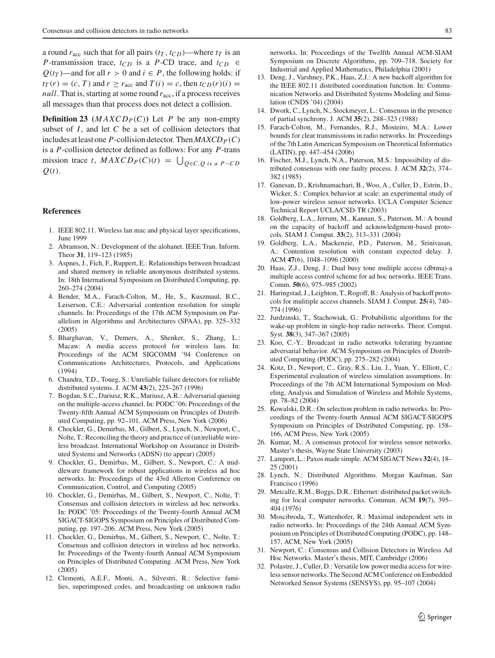a round  $r_{\text{acc}}$  such that for all pairs  $(t_T, t_{CD})$ —where  $t_T$  is an *P*-transmission trace,  $t_{CD}$  is a *P*-CD trace, and  $t_{CD} \in$  $Q(t_T)$ —and for all  $r > 0$  and  $i \in P$ , the following holds: if  $t_T(r) = (c, T)$  and  $r \ge r_{\text{acc}}$  and  $T(i) = c$ , then  $t_{CD}(r)(i) = c$ *null*. That is, starting at some round *r*acc, if a process receives all messages than that process does not detect a collision.

<span id="page-28-31"></span>**Definition 23** (*MAXCD<sub>P</sub>*(*C*)) Let *P* be any non-empty subset of *I*, and let *C* be a set of collision detectors that includes at least one *P*-collision detector. Then  $MAXCD_P(C)$ is a *P*-collision detector defined as follows: For any *P*-trans mission trace *t*,  $MAXCD_P(C)(t) = \bigcup_{Q \in C, Q}$  is a P-CD *Q*(*t*).

#### <span id="page-28-11"></span>**References**

- 1. IEEE 802.11. Wireless lan mac and physical layer specifications, June 1999
- <span id="page-28-18"></span>2. Abramson, N.: Development of the alohanet. IEEE Tran. Inform. Theor **31**, 119–123 (1985)
- <span id="page-28-27"></span>3. Aspnes, J., Fich, F., Ruppert, E.: Relationships between broadcast and shared memory in reliable anonymous distributed systems. In: 18th International Symposium on Distributed Computing, pp. 260–274 (2004)
- <span id="page-28-6"></span>4. Bender, M.A., Farach-Colton, M., He, S., Kuszmaul, B.C., Leiserson, C.E.: Adversarial contention resolution for simple channels. In: Proceedings of the 17th ACM Symposium on Parallelism in Algorithms and Architectures (SPAA), pp. 325–332 (2005)
- <span id="page-28-12"></span>5. Bharghavan, V., Demers, A., Shenker, S., Zhang, L.: Macaw: A media access protocol for wireless lans. In: Proceedings of the ACM SIGCOMM '94 Conference on Communications Architectures, Protocols, and Applications (1994)
- <span id="page-28-1"></span>6. Chandra, T.D., Toueg, S.: Unreliable failure detectors for reliable distributed systems. J. ACM **43**(2), 225–267 (1996)
- <span id="page-28-7"></span>7. Bogdan, S.C., Dariusz, R.K., Mariusz, A.R.: Adversarial queuing on the multiple-access channel. In: PODC '06: Proceedings of the Twenty-fifth Annual ACM Symposium on Principles of Distributed Computing, pp. 92–101. ACM Press, New York (2006)
- <span id="page-28-29"></span>8. Chockler, G., Demirbas, M., Gilbert, S., Lynch, N., Newport, C., Nolte, T.: Reconciling the theory and practice of (un)reliable wireless broadcast. International Workshop on Assurance in Distributed Systems and Networks (ADSN) (to appear) (2005)
- <span id="page-28-15"></span>9. Chockler, G., Demirbas, M., Gilbert, S., Newport, C.: A middleware framework for robust applications in wireless ad hoc networks. In: Proceedings of the 43rd Allerton Conference on Communication, Control, and Computing (2005)
- <span id="page-28-17"></span>10. Chockler, G., Demirbas, M., Gilbert, S., Newport, C., Nolte, T: Consensus and collision detectors in wireless ad hoc networks. In: PODC '05: Proceedings of the Twenty-fourth Annual ACM SIGACT-SIGOPS Symposium on Principles of Distributed Computing, pp. 197–206. ACM Press, New York (2005)
- <span id="page-28-30"></span>11. Chockler, G., Demirbas, M., Gilbert, S., Newport, C., Nolte, T.: Consensus and collision detectors in wireless ad hoc networks. In: Proceedings of the Twenty-fourth Annual ACM Symposium on Principles of Distributed Computing. ACM Press, New York (2005)
- <span id="page-28-4"></span>12. Clementi, A.E.F., Monti, A., Silvestri, R.: Selective families, superimposed codes, and broadcasting on unknown radio

networks. In: Proceedings of the Twelfth Annual ACM-SIAM Symposium on Discrete Algorithms, pp. 709–718. Society for Industrial and Applied Mathematics, Philadelphia (2001)

- <span id="page-28-2"></span>13. Deng, J., Varshney, P.K., Haas, Z.J.: A new backoff algorithm for the IEEE 802.11 distributed coordination function. In: Communication Networks and Distributed Systems Modeling and Simulation (CNDS '04) (2004)
- <span id="page-28-23"></span>14. Dwork, C., Lynch, N., Stockmeyer, L.: Consensus in the presence of partial synchrony. J. ACM **35**(2), 288–323 (1988)
- <span id="page-28-19"></span>15. Farach-Colton, M., Fernandes, R.J., Mosteiro, M.A.: Lower bounds for clear transmissions in radio networks. In: Proceedings of the 7th Latin American Symposium on Theoretical Informatics (LATIN), pp. 447–454 (2006)
- <span id="page-28-25"></span>16. Fischer, M.J., Lynch, N.A., Paterson, M.S.: Impossibility of distributed consensus with one faulty process. J. ACM **32**(2), 374– 382 (1985)
- <span id="page-28-13"></span>17. Ganesan, D., Krishnamachari, B., Woo, A., Culler, D., Estrin, D., Wicker, S.: Complex behavior at scale: an experimental study of low-power wireless sensor networks. UCLA Computer Science Technical Report UCLA/CSD-TR (2003)
- <span id="page-28-8"></span>18. Goldberg, L.A., Jerrum, M., Kannan, S., Paterson, M.: A bound on the capacity of backoff and acknowledgment-based protocols. SIAM J. Comput. **33**(2), 313–331 (2004)
- <span id="page-28-9"></span>19. Goldberg, L.A., Mackenzie, P.D., Paterson, M., Srinivasan, A.: Contention resolution with constant expected delay. J. ACM **47**(6), 1048–1096 (2000)
- <span id="page-28-16"></span>20. Haas, Z.J., Deng, J.: Dual busy tone multiple access (dbtma)-a multiple access control scheme for ad hoc networks. IEEE Trans. Comm. **50**(6), 975–985 (2002)
- <span id="page-28-10"></span>21. Haringstad, J., Leighton, T., Rogoff, B.: Analysis of backoff protocols for mulitiple access channels. SIAM J. Comput. **25**(4), 740– 774 (1996)
- <span id="page-28-20"></span>22. Jurdzinski, T., Stachowiak, G.: Probabilistic algorithms for the wake-up problem in single-hop radio networks. Theor. Comput. Syst. **38**(3), 347–367 (2005)
- <span id="page-28-28"></span>23. Koo, C.-Y.: Broadcast in radio networks tolerating byzantine adversarial behavior. ACM Symposium on Principles of Distributed Computing (PODC), pp. 275–282 (2004)
- <span id="page-28-14"></span>24. Kotz, D., Newport, C., Gray, R.S., Liu, J., Yuan, Y., Elliott, C.: Experimental evaluation of wireless simulation assumptions. In: Proceedings of the 7th ACM International Symposium on Modeling, Analysis and Simulation of Wireless and Mobile Systems, pp. 78–82 (2004)
- <span id="page-28-5"></span>25. Kowalski, D.R.: On selection problem in radio networks. In: Proceedings of the Twenty-fourth Annual ACM SIGACT-SIGOPS Symposium on Principles of Distributed Computing, pp. 158– 166, ACM Press, New York (2005)
- <span id="page-28-26"></span>26. Kumar, M.: A consensus protocol for wireless sensor networks. Master's thesis, Wayne State University (2003)
- <span id="page-28-24"></span>27. Lamport, L.: Paxos made simple. ACM SIGACT News **32**(4), 18– 25 (2001)
- <span id="page-28-22"></span>28. Lynch, N.: Distributed Algorithms. Morgan Kaufman, San Francisco (1996)
- <span id="page-28-0"></span>29. Metcalfe, R.M., Boggs, D.R.: Ethernet: distributed packet switching for local computer networks. Commun. ACM **19**(7), 395– 404 (1976)
- <span id="page-28-21"></span>30. Moscibroda, T., Wattenhofer, R.: Maximal independent sets in radio networks. In: Proceedings of the 24th Annual ACM Symposium on Principles of Distributed Computing (PODC), pp. 148– 157, ACM, New York (2005)
- <span id="page-28-32"></span>31. Newport, C.: Consensus and Collision Detectors in Wireless Ad Hoc Networks. Master's thesis, MIT, Cambridge (2006)
- <span id="page-28-3"></span>32. Polastre, J., Culler, D.: Versatile low power media access for wireless sensor networks. The Second ACM Conference on Embedded Networked Sensor Systems (SENSYS), pp. 95–107 (2004)